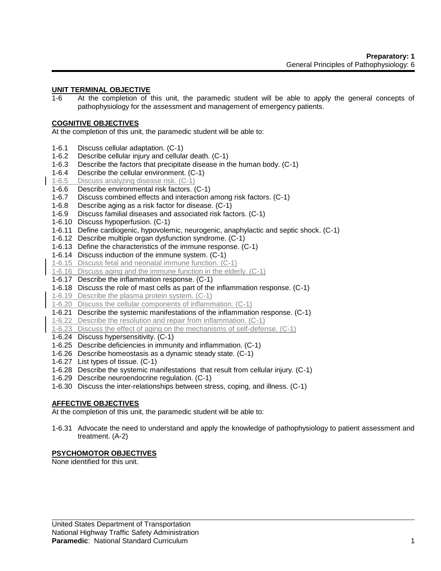# **UNIT TERMINAL OBJECTIVE**

1-6 At the completion of this unit, the paramedic student will be able to apply the general concepts of pathophysiology for the assessment and management of emergency patients.

#### **COGNITIVE OBJECTIVES**

At the completion of this unit, the paramedic student will be able to:

- 1-6.1 Discuss cellular adaptation. (C-1)
- 1-6.2 Describe cellular injury and cellular death. (C-1)
- 1-6.3 Describe the factors that precipitate disease in the human body. (C-1)
- 1-6.4 Describe the cellular environment. (C-1)
- 1-6.5 Discuss analyzing disease risk. (C-1)
- 1-6.6 Describe environmental risk factors. (C-1)
- 1-6.7 Discuss combined effects and interaction among risk factors. (C-1)
- 1-6.8 Describe aging as a risk factor for disease. (C-1)
- 1-6.9 Discuss familial diseases and associated risk factors. (C-1)
- 1-6.10 Discuss hypoperfusion. (C-1)
- 1-6.11 Define cardiogenic, hypovolemic, neurogenic, anaphylactic and septic shock. (C-1)
- 1-6.12 Describe multiple organ dysfunction syndrome. (C-1)
- 1-6.13 Define the characteristics of the immune response. (C-1)
- 1-6.14 Discuss induction of the immune system. (C-1)
- 1-6.15 Discuss fetal and neonatal immune function. (C-1)
- 1-6.16 Discuss aging and the immune function in the elderly. (C-1)
- 1-6.17 Describe the inflammation response. (C-1)
- 1-6.18 Discuss the role of mast cells as part of the inflammation response. (C-1)
- 1-6.19 Describe the plasma protein system. (C-1)
- 1-6.20 Discuss the cellular components of inflammation. (C-1)
- 1-6.21 Describe the systemic manifestations of the inflammation response. (C-1)
- 1-6.22 Describe the resolution and repair from inflammation. (C-1)
- 1-6.23 Discuss the effect of aging on the mechanisms of self-defense. (C-1)
- 1-6.24 Discuss hypersensitivity. (C-1)
- 1-6.25 Describe deficiencies in immunity and inflammation. (C-1)
- 1-6.26 Describe homeostasis as a dynamic steady state. (C-1)
- 1-6.27 List types of tissue. (C-1)
- 1-6.28 Describe the systemic manifestations that result from cellular injury. (C-1)
- 1-6.29 Describe neuroendocrine regulation. (C-1)
- 1-6.30 Discuss the inter-relationships between stress, coping, and illness. (C-1)

### **AFFECTIVE OBJECTIVES**

At the completion of this unit, the paramedic student will be able to:

1-6.31 Advocate the need to understand and apply the knowledge of pathophysiology to patient assessment and treatment. (A-2)

### **PSYCHOMOTOR OBJECTIVES**

None identified for this unit.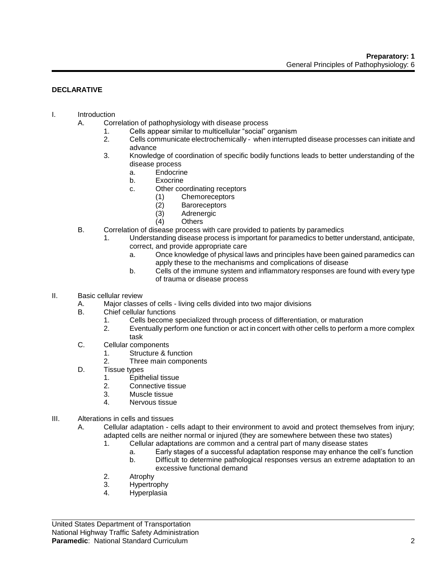### **DECLARATIVE**

# I. Introduction

- A. Correlation of pathophysiology with disease process
	- 1. Cells appear similar to multicellular "social" organism
	- 2. Cells communicate electrochemically when interrupted disease processes can initiate and advance
	- 3. Knowledge of coordination of specific bodily functions leads to better understanding of the disease process
		- a. Endocrine
		- b. Exocrine
		- c. Other coordinating receptors
			- (1) Chemoreceptors
			- (2) Baroreceptors
			- (3) Adrenergic
			- (4) Others
- B. Correlation of disease process with care provided to patients by paramedics
	- 1. Understanding disease process is important for paramedics to better understand, anticipate, correct, and provide appropriate care
		- a. Once knowledge of physical laws and principles have been gained paramedics can apply these to the mechanisms and complications of disease
		- b. Cells of the immune system and inflammatory responses are found with every type of trauma or disease process

#### II. Basic cellular review

- A. Major classes of cells living cells divided into two major divisions
- B. Chief cellular functions
	- 1. Cells become specialized through process of differentiation, or maturation
	- 2. Eventually perform one function or act in concert with other cells to perform a more complex task
- C. Cellular components
	- 1. Structure & function
	- 2. Three main components
- D. Tissue types
	- 1. Epithelial tissue
	- 2. Connective tissue
	- 3. Muscle tissue
	- 4. Nervous tissue
- III. Alterations in cells and tissues
	- A. Cellular adaptation cells adapt to their environment to avoid and protect themselves from injury; adapted cells are neither normal or injured (they are somewhere between these two states)
		- 1. Cellular adaptations are common and a central part of many disease states
			- a. Early stages of a successful adaptation response may enhance the cell's function
			- b. Difficult to determine pathological responses versus an extreme adaptation to an excessive functional demand
		- 2. Atrophy
		- 3. Hypertrophy
		- 4. Hyperplasia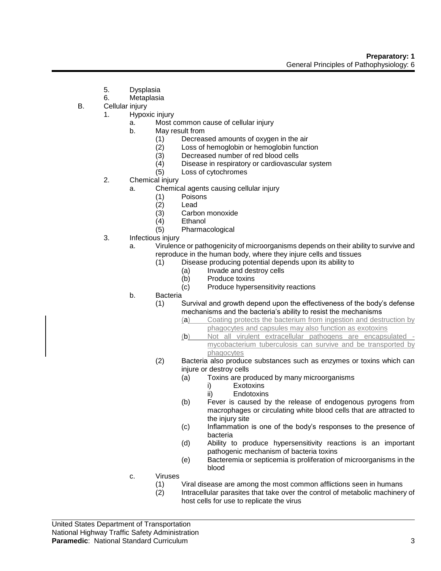- 5. Dysplasia
- 6. Metaplasia
- B. Cellular injury
	- 1. Hypoxic injury
		- a. Most common cause of cellular injury
		- b. May result from
			- (1) Decreased amounts of oxygen in the air<br>(2) Loss of hemoglobin or hemoglobin functi
			- $(2)$  Loss of hemoglobin or hemoglobin function  $(3)$  Decreased number of red blood cells
			- (3) Decreased number of red blood cells<br>(4) Disease in respiratory or cardiovascul
			- Disease in respiratory or cardiovascular system
			- (5) Loss of cytochromes
	- 2. Chemical injury
		- a. Chemical agents causing cellular injury
			- (1) Poisons
			- (2) Lead
			- (3) Carbon monoxide
			- (4) Ethanol
			- (5) Pharmacological
	- 3. Infectious injury
		- a. Virulence or pathogenicity of microorganisms depends on their ability to survive and reproduce in the human body, where they injure cells and tissues
			- (1) Disease producing potential depends upon its ability to
				- (a) Invade and destroy cells
				- (b) Produce toxins
				- (c) Produce hypersensitivity reactions
		- b. Bacteria
			- (1) Survival and growth depend upon the effectiveness of the body's defense mechanisms and the bacteria's ability to resist the mechanisms
				- (a) Coating protects the bacterium from ingestion and destruction by phagocytes and capsules may also function as exotoxins
				- (b) Not all virulent extracellular pathogens are encapsulated mycobacterium tuberculosis can survive and be transported by phagocytes
			- (2) Bacteria also produce substances such as enzymes or toxins which can injure or destroy cells
				- (a) Toxins are produced by many microorganisms
					- i) Exotoxins
					- ii) Endotoxins
				- (b) Fever is caused by the release of endogenous pyrogens from macrophages or circulating white blood cells that are attracted to the injury site
				- (c) Inflammation is one of the body's responses to the presence of bacteria
				- (d) Ability to produce hypersensitivity reactions is an important pathogenic mechanism of bacteria toxins
				- (e) Bacteremia or septicemia is proliferation of microorganisms in the blood
		- c. Viruses
			- (1) Viral disease are among the most common afflictions seen in humans<br>(2) Intracellular parasites that take over the control of metabolic machiner
			- Intracellular parasites that take over the control of metabolic machinery of host cells for use to replicate the virus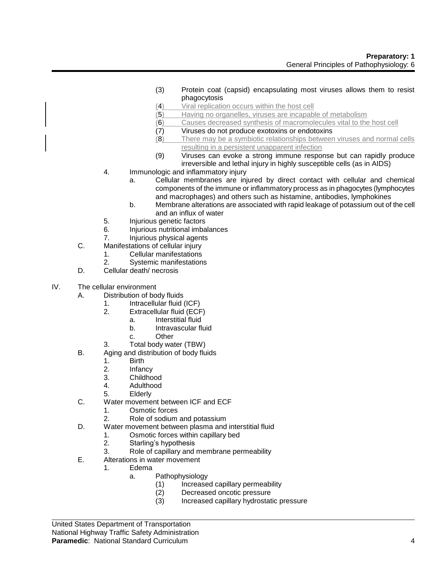- (3) Protein coat (capsid) encapsulating most viruses allows them to resist phagocytosis
- (4) Viral replication occurs within the host cell
- (5) Having no organelles, viruses are incapable of metabolism
- (6) Causes decreased synthesis of macromolecules vital to the host cell
- (7) Viruses do not produce exotoxins or endotoxins
- (8) There may be a symbiotic relationships between viruses and normal cells resulting in a persistent unapparent infection
- (9) Viruses can evoke a strong immune response but can rapidly produce irreversible and lethal injury in highly susceptible cells (as in AIDS)
- 4. Immunologic and inflammatory injury
	- a. Cellular membranes are injured by direct contact with cellular and chemical components of the immune or inflammatory process as in phagocytes (lymphocytes and macrophages) and others such as histamine, antibodies, lymphokines
	- b. Membrane alterations are associated with rapid leakage of potassium out of the cell and an influx of water
- 5. Injurious genetic factors
- 6. Injurious nutritional imbalances
- 7. Injurious physical agents
- C. Manifestations of cellular injury
	- 1. Cellular manifestations
	- 2. Systemic manifestations
- D. Cellular death/ necrosis
- IV. The cellular environment
	- A. Distribution of body fluids
		- 1. Intracellular fluid (ICF)
		- 2. Extracellular fluid (ECF)
			- a. Interstitial fluid
				- b. Intravascular fluid
				- c. Other
		- 3. Total body water (TBW)
	- B. Aging and distribution of body fluids
		- 1. Birth
		- 2. Infancy
		- 3. Childhood
		- 4. Adulthood
		- 5. Elderly
	- C. Water movement between ICF and ECF
		- 1. Osmotic forces
		- 2. Role of sodium and potassium
	- D. Water movement between plasma and interstitial fluid
		- 1. Osmotic forces within capillary bed
			- 2. Starling's hypothesis
			- 3. Role of capillary and membrane permeability
	- E. Alterations in water movement
		- 1. Edema
			- a. Pathophysiology
				- (1) Increased capillary permeability<br>(2) Decreased oncotic pressure
				- Decreased oncotic pressure
				- (3) Increased capillary hydrostatic pressure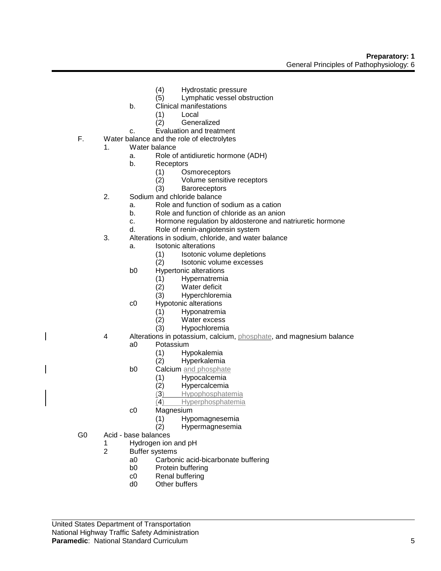- (4) Hydrostatic pressure
- (5) Lymphatic vessel obstruction
- b. Clinical manifestations
	- (1) Local
	- (2) Generalized
- c. Evaluation and treatment
- F. Water balance and the role of electrolytes
	- 1. Water balance
		- a. Role of antidiuretic hormone (ADH)
		- b. Receptors
			- (1) Osmoreceptors
			- (2) Volume sensitive receptors
			- (3) Baroreceptors
	- 2. Sodium and chloride balance
		- a. Role and function of sodium as a cation
		- b. Role and function of chloride as an anion
		- c. Hormone regulation by aldosterone and natriuretic hormone
		- d. Role of renin-angiotensin system
	- 3. Alterations in sodium, chloride, and water balance
		- a. Isotonic alterations
			- (1) Isotonic volume depletions
			- (2) Isotonic volume excesses
		- b0 Hypertonic alterations
			- (1) Hypernatremia
			- Water deficit
			- (3) Hyperchloremia
		- c0 Hypotonic alterations
			- (1) Hyponatremia
			- (2) Water excess
			- (3) Hypochloremia
	- 4 Alterations in potassium, calcium, phosphate, and magnesium balance a0 Potassium
		- - (1) Hypokalemia Hyperkalemia
		- b0 Calcium and phosphate
			-
			- (1) Hypocalcemia Hypercalcemia
			- (3) Hypophosphatemia
			- (4) Hyperphosphatemia
		- c0 Magnesium
			- (1) Hypomagnesemia
			- (2) Hypermagnesemia
- G0 Acid base balances
	- 1 Hydrogen ion and pH
		- 2 Buffer systems
			- a0 Carbonic acid-bicarbonate buffering
			- b0 Protein buffering
			- c0 Renal buffering
			- d0 Other buffers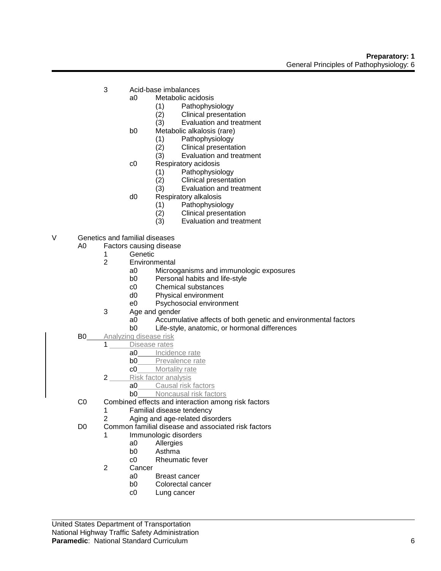- 3 Acid-base imbalances
	- a0 Metabolic acidosis
		- (1) Pathophysiology
		- (2) Clinical presentation
		- (3) Evaluation and treatment
	- b0 Metabolic alkalosis (rare)
		- (1) Pathophysiology
		- (2) Clinical presentation<br>(3) Evaluation and treatr
		- Evaluation and treatment
		- c0 Respiratory acidosis
			-
			- (1) Pathophysiology Clinical presentation
			- (3) Evaluation and treatment
	- d0 Respiratory alkalosis
		- (1) Pathophysiology
		- (2) Clinical presentation
		- (3) Evaluation and treatment
- V Genetics and familial diseases
	- A0 Factors causing disease
		- - 1 Genetic<br>2 Environn **Environmental** 
				- a0 Microoganisms and immunologic exposures
				- b0 Personal habits and life-style
				- c0 Chemical substances
				- d0 Physical environment
				- e0 Psychosocial environment
			- 3 Age and gender
				- a0 Accumulative affects of both genetic and environmental factors
				- b0 Life-style, anatomic, or hormonal differences
	- **B0** Analyzing disease risk
	- 1 Disease rates
		- a0 Incidence rate<br>b0 Prevalence rate
		- Prevalence rate
		- c0 Mortality rate
		- 2 Risk factor analysis
			- a0 Causal risk factors
			- **b0** Noncausal risk factors
	- C0 Combined effects and interaction among risk factors
		- 1 Familial disease tendency
		- 2 Aging and age-related disorders
	- D0 Common familial disease and associated risk factors
		- 1 Immunologic disorders
			- a0 Allergies
			- b0 Asthma
			- c0 Rheumatic fever
		- 2 Cancer
			- a0 Breast cancer
			- b0 Colorectal cancer
			- c0 Lung cancer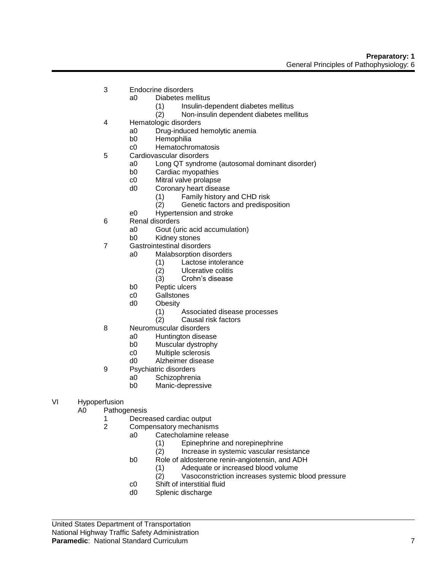- 3 Endocrine disorders
	- a0 Diabetes mellitus
		- (1) Insulin-dependent diabetes mellitus
		- (2) Non-insulin dependent diabetes mellitus
- 4 Hematologic disorders
	- a0 Drug-induced hemolytic anemia
	- b0 Hemophilia
	- c0 Hematochromatosis
- 5 Cardiovascular disorders
	- a0 Long QT syndrome (autosomal dominant disorder)
		- b0 Cardiac myopathies
		- c0 Mitral valve prolapse
		- d0 Coronary heart disease
			- (1) Family history and CHD risk
			- (2) Genetic factors and predisposition
		- e0 Hypertension and stroke
- 6 Renal disorders
	- a0 Gout (uric acid accumulation)
	- b0 Kidney stones
- 7 Gastrointestinal disorders
	- a0 Malabsorption disorders
		- (1) Lactose intolerance
		- (2) Ulcerative colitis
		- (3) Crohn's disease
		- b0 Peptic ulcers
		- c0 Gallstones
		- d0 Obesity
			- (1) Associated disease processes
			- (2) Causal risk factors
- 8 Neuromuscular disorders
	- a0 Huntington disease
	- b0 Muscular dystrophy
	- c0 Multiple sclerosis
	- d0 Alzheimer disease
- 9 Psychiatric disorders
	- a0 Schizophrenia
		- b0 Manic-depressive
- VI Hypoperfusion
	- A0 Pathogenesis
		- 1 Decreased cardiac output
		- 2 Compensatory mechanisms
			- a0 Catecholamine release
				- (1) Epinephrine and norepinephrine
				- (2) Increase in systemic vascular resistance
			- b0 Role of aldosterone renin-angiotensin, and ADH
				- (1) Adequate or increased blood volume
				- (2) Vasoconstriction increases systemic blood pressure
			- c0 Shift of interstitial fluid
			- d0 Splenic discharge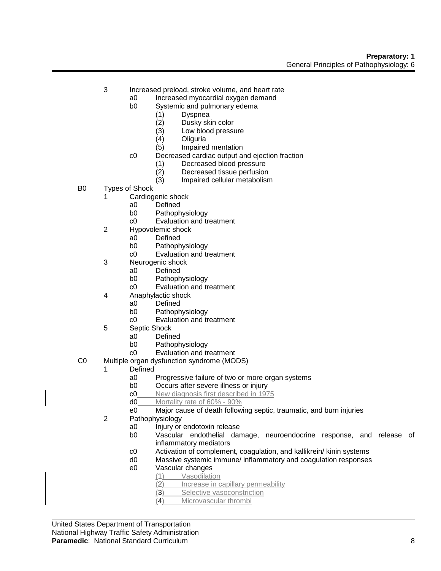- 3 Increased preload, stroke volume, and heart rate
	- a0 Increased myocardial oxygen demand
	- b0 Systemic and pulmonary edema
		- (1) Dyspnea
		- (2) Dusky skin color
		- (3) Low blood pressure
		-
		- (4) Oliguria (5) Impaired mentation
	- c0 Decreased cardiac output and ejection fraction
		- (1) Decreased blood pressure
		- (2) Decreased tissue perfusion
		- (3) Impaired cellular metabolism
- B0 Types of Shock
	- 1 Cardiogenic shock
		- a0 Defined
		- b0 Pathophysiology
		- c0 Evaluation and treatment
	- 2 Hypovolemic shock
		- a0 Defined
		- b0 Pathophysiology
		- c0 Evaluation and treatment
	- 3 Neurogenic shock
		- a0 Defined
			- b0 Pathophysiology
			- c0 Evaluation and treatment
	- 4 Anaphylactic shock
		- a0 Defined
		- b0 Pathophysiology
		- c0 Evaluation and treatment
	- 5 Septic Shock
		- a0 Defined
		- b0 Pathophysiology
		- c0 Evaluation and treatment
- C0 Multiple organ dysfunction syndrome (MODS)
	- 1 Defined
		- a0 Progressive failure of two or more organ systems
		- b0 Occurs after severe illness or injury
		- c0 New diagnosis first described in 1975
		- d0 Mortality rate of 60% 90%
		- e0 Major cause of death following septic, traumatic, and burn injuries
	- 2 Pathophysiology
		- a0 Injury or endotoxin release
		- b0 Vascular endothelial damage, neuroendocrine response, and release of inflammatory mediators
		- c0 Activation of complement, coagulation, and kallikrein/ kinin systems
		- d0 Massive systemic immune/ inflammatory and coagulation responses
		- e0 Vascular changes
			- (1) Vasodilation
				- (2) Increase in capillary permeability
				- (3) Selective vasoconstriction
				- (4) Microvascular thrombi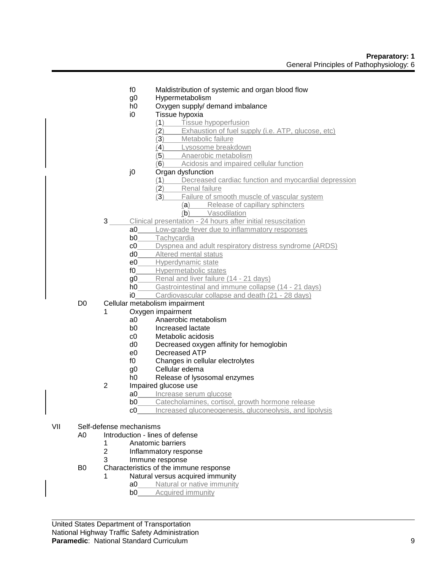- f0 Maldistribution of systemic and organ blood flow
- g0 Hypermetabolism
- h0 Oxygen supply/ demand imbalance
- i0 Tissue hypoxia
	- (1) Tissue hypoperfusion
	- (2) Exhaustion of fuel supply (i.e. ATP, glucose, etc)
	- (3) Metabolic failure
	- (4) Lysosome breakdown
	- (5) Anaerobic metabolism
	- (6) Acidosis and impaired cellular function
- j0 Organ dysfunction
	- (1) Decreased cardiac function and myocardial depression
	- (2) Renal failure
	- (3) Failure of smooth muscle of vascular system
		- (a) Release of capillary sphincters
			- (b) Vasodilation
- 3 Clinical presentation 24 hours after initial resuscitation
	- a0 Low-grade fever due to inflammatory responses
	- b0 Tachycardia
	- c0 Dyspnea and adult respiratory distress syndrome (ARDS)
	- d0 Altered mental status
	- e0 Hyperdynamic state
	- f0 Hypermetabolic states
	- g0 Renal and liver failure (14 21 days)
	- h0 Gastrointestinal and immune collapse (14 21 days)
	- i0 Cardiovascular collapse and death (21 28 days)
- D0 Cellular metabolism impairment
	- 1 Oxygen impairment
		- a0 Anaerobic metabolism
		- b0 Increased lactate
		- c0 Metabolic acidosis
		- d0 Decreased oxygen affinity for hemoglobin
		- e0 Decreased ATP
		- f0 Changes in cellular electrolytes
		- g0 Cellular edema
		- h0 Release of lysosomal enzymes
		- 2 Impaired glucose use
			- a0 Increase serum glucose
			- **b0** Catecholamines, cortisol, growth hormone release
			- c0 Increased gluconeogenesis, gluconeolysis, and lipolysis
- VII Self-defense mechanisms
	- A0 Introduction lines of defense
		- 1 Anatomic barriers
		- 2 Inflammatory response
		- 3 Immune response
	- B0 Characteristics of the immune response
		- Natural versus acquired immunity
			- a0 Natural or native immunity
				- **b0** Acquired immunity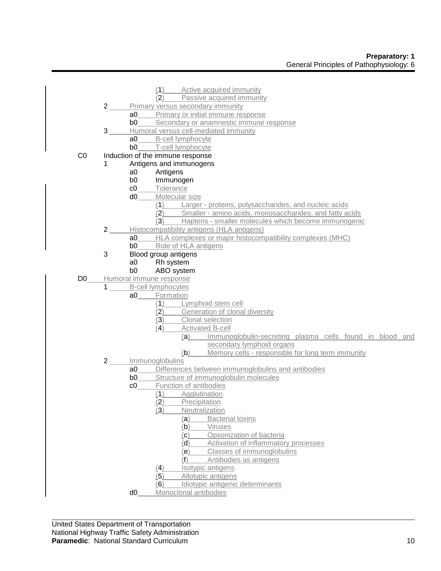|                |                |                | (1)<br>Active acquired immunity                                 |
|----------------|----------------|----------------|-----------------------------------------------------------------|
|                |                |                | Passive acquired immunity<br>(2)                                |
|                | $2 \quad$      |                | Primary versus secondary immunity                               |
|                |                | a0             | Primary or initial immune response                              |
|                |                | b0             | Secondary or anamnestic immune response                         |
|                | 3 <sup>1</sup> |                | Humoral versus cell-mediated immunity                           |
|                |                | a <sub>0</sub> | B-cell lymphocyte                                               |
|                |                | b <sub>0</sub> | T-cell lymphocyte                                               |
| CO             |                |                | Induction of the immune response                                |
|                | 1              |                | Antigens and immunogens                                         |
|                |                | a <sub>0</sub> | Antigens                                                        |
|                |                | b <sub>0</sub> | Immunogen                                                       |
|                |                | c0             | Tolerance                                                       |
|                |                | d <sub>0</sub> | Molecular size                                                  |
|                |                |                | Larger - proteins, polysaccharides, and nucleic acids<br>(1)    |
|                |                |                | Smaller - amino acids, monosaccharides, and fatty acids<br>(2)  |
|                |                |                | (3)<br>Haptens - smaller molecules which become immunogenic     |
|                | $2^{\circ}$    |                | Histocompatibility antigens (HLA antigens)                      |
|                |                | a <sub>0</sub> | HLA complexes or major histocompatibility complexes (MHC)       |
|                |                | b <sub>0</sub> | Role of HLA antigens                                            |
|                | 3              |                | Blood group antigens                                            |
|                |                | a <sub>0</sub> | Rh system                                                       |
|                |                | b <sub>0</sub> | ABO system                                                      |
| D <sub>0</sub> |                |                | Humoral immune response                                         |
|                | $\mathbf{1}$   |                | <b>B-cell lymphocytes</b>                                       |
|                |                | a0             | Formation                                                       |
|                |                |                | (1)<br>Lymphoid stem cell                                       |
|                |                |                | (2)<br>Generation of clonal diversity                           |
|                |                |                | (3)<br>Clonal selection                                         |
|                |                |                | (4)<br><b>Activated B-cell</b>                                  |
|                |                |                | Immunoglobulin-secreting plasma cells found in blood and<br>(a) |
|                |                |                | secondary lymphoid organs                                       |
|                |                |                | Memory cells - responsible for long term immunity<br>(b)        |
|                | $2 \quad$      |                | Immunoglobulins                                                 |
|                |                | a0             | Differences between immunoglobulins and antibodies              |
|                |                | b <sub>0</sub> | Structure of immunoglobulin molecules                           |
|                |                | c0             | Function of antibodies                                          |
|                |                |                | Agglutination<br>(1)                                            |
|                |                |                | (2)<br>Precipitation                                            |
|                |                |                | Neutralization<br>(3)                                           |
|                |                |                | <b>Bacterial toxins</b><br>(a)                                  |
|                |                |                | (b)<br>Viruses                                                  |
|                |                |                | Opsonization of bacteria<br>(c)                                 |
|                |                |                | Activation of inflammatory processes<br>(d)                     |
|                |                |                | Classes of immunoglobulins<br>(e)                               |
|                |                |                | Antibodies as antigens<br>(1)                                   |
|                |                |                | Isotypic antigens<br>(4)<br>Allotypic antigens<br>(5)           |
|                |                |                | (6)<br>Idiotypic antigenic determinants                         |
|                |                | d0             | Monoclonal antibodies                                           |
|                |                |                |                                                                 |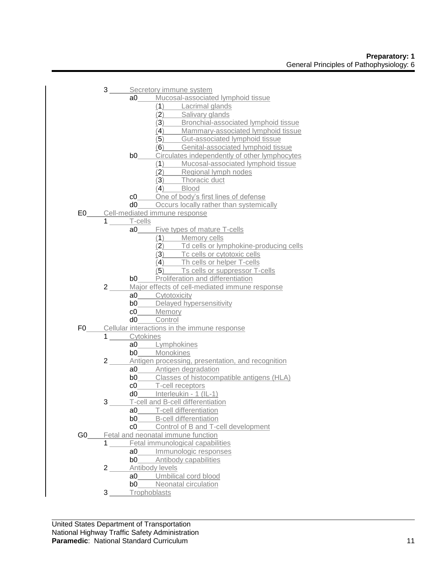|      |                        | 3 _____ Secretory immune system |                                                                                                                 |  |
|------|------------------------|---------------------------------|-----------------------------------------------------------------------------------------------------------------|--|
|      |                        |                                 | a0_____Mucosal-associated lymphoid tissue                                                                       |  |
|      |                        |                                 | (1) Lacrimal glands                                                                                             |  |
|      |                        |                                 | (2) Salivary glands                                                                                             |  |
|      |                        |                                 | (3) Bronchial-associated lymphoid tissue                                                                        |  |
|      |                        |                                 | (4) Mammary-associated lymphoid tissue                                                                          |  |
|      |                        |                                 | (5) Gut-associated lymphoid tissue                                                                              |  |
|      |                        |                                 | (6) Genital-associated lymphoid tissue                                                                          |  |
|      |                        |                                 | <b>b0</b> Circulates independently of other lymphocytes                                                         |  |
|      |                        |                                 |                                                                                                                 |  |
|      |                        |                                 | (1) Mucosal-associated lymphoid tissue<br>(2) Regional lymph nodes<br>(3) Thoracic duct                         |  |
|      |                        |                                 |                                                                                                                 |  |
|      |                        |                                 | $\overline{A}$ Blood                                                                                            |  |
|      |                        |                                 | c0______One of body's first lines of defense                                                                    |  |
|      |                        |                                 | d0 Occurs locally rather than systemically                                                                      |  |
|      |                        |                                 | E0 Cell-mediated immune response                                                                                |  |
|      | $1 \qquad \qquad$      | T-cells                         |                                                                                                                 |  |
|      |                        | a0                              | <b>Example 5 Five types of mature T-cells</b>                                                                   |  |
|      |                        |                                 | $(1)$ Memory cells                                                                                              |  |
|      |                        |                                 |                                                                                                                 |  |
|      |                        |                                 | (2) Td cells or lymphokine-producing cells<br>(3) Tc cells or cytotoxic cells<br>(4) Th cells or helper T-cells |  |
|      |                        |                                 |                                                                                                                 |  |
|      |                        |                                 | $\overline{(\overline{5})}$ Ts cells or suppressor T-cells                                                      |  |
|      |                        |                                 | <b>b0</b> Proliferation and differentiation                                                                     |  |
|      | $2 \_$                 |                                 | Major effects of cell-mediated immune response                                                                  |  |
|      |                        |                                 | a0_____Cytotoxicity                                                                                             |  |
|      |                        |                                 | <b>b0</b> Delayed hypersensitivity                                                                              |  |
|      |                        |                                 | c0_____Memory                                                                                                   |  |
|      |                        |                                 | d0_____Control                                                                                                  |  |
|      |                        |                                 | F0 Cellular interactions in the immune response                                                                 |  |
|      |                        | 1 Cytokines                     |                                                                                                                 |  |
|      |                        |                                 | a0_____Lymphokines                                                                                              |  |
|      |                        |                                 | b0______Monokines                                                                                               |  |
|      | $2 \_$                 |                                 | Antigen processing, presentation, and recognition                                                               |  |
|      |                        |                                 | a0 Antigen degradation                                                                                          |  |
|      |                        |                                 | <b>b0</b> Classes of histocompatible antigens (HLA)                                                             |  |
|      |                        |                                 | c0______T-cell receptors                                                                                        |  |
|      |                        |                                 | d0______ Interleukin - 1 (IL-1)                                                                                 |  |
|      | $3 \underline{\qquad}$ |                                 | T-cell and B-cell differentiation                                                                               |  |
|      |                        |                                 | a0_____T-cell differentiation                                                                                   |  |
|      |                        | b0 l                            | <b>B-cell differentiation</b>                                                                                   |  |
|      |                        | c0                              | Control of B and T-cell development                                                                             |  |
| G0 l |                        |                                 | Fetal and neonatal immune function                                                                              |  |
|      | 1                      |                                 | Fetal immunological capabilities                                                                                |  |
|      |                        | a0                              | Immunologic responses                                                                                           |  |
|      |                        | b0                              | Antibody capabilities                                                                                           |  |
|      | $2\overline{)}$        |                                 | Antibody levels                                                                                                 |  |
|      |                        | a <sub>0</sub>                  | Umbilical cord blood                                                                                            |  |
|      |                        | b0                              | Neonatal circulation                                                                                            |  |
|      | 3                      |                                 | Trophoblasts                                                                                                    |  |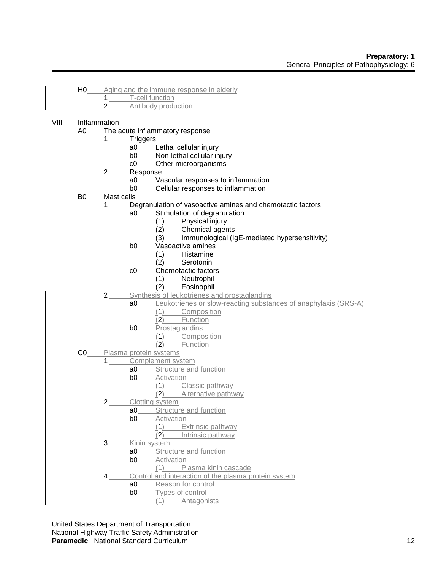- H0 Aging and the immune response in elderly
	- 1 T-cell function
	- 2 Antibody production

# VIII Inflammation

- A0 The acute inflammatory response
	- 1 Triggers
		- a0 Lethal cellular injury<br>b0 Non-lethal cellular in
		- Non-lethal cellular injury
		- c0 Other microorganisms
	- 2 Response
		- a0 Vascular responses to inflammation
		- b0 Cellular responses to inflammation
- B0 Mast cells
	- 1 Degranulation of vasoactive amines and chemotactic factors
		- a0 Stimulation of degranulation
			- (1) Physical injury
			-
			- (2) Chemical agents<br>(3) Immunological (Ig Immunological (IgE-mediated hypersensitivity)
		- b0 Vasoactive amines
			- (1) Histamine
			- (2) Serotonin
		- c0 Chemotactic factors
			-
			- (1) Neutrophil **Eosinophil**
	- 2 Synthesis of leukotrienes and prostaglandins
		- a0 Leukotrienes or slow-reacting substances of anaphylaxis (SRS-A)
			- (1) Composition
			- (2) Function
			- **b0** Prostaglandins
				- (1) Composition
				- (2) Function
- C0 Plasma protein systems
	- 1 Complement system
		- a0 Structure and function
		- **b0** Activation
			- (1) Classic pathway
				- (2) Alternative pathway
		- 2 Clotting system
			- a0 Structure and function
				- **b0** Activation
					- (1) Extrinsic pathway
						- (2) Intrinsic pathway
		- 3 Kinin system
			- a0 Structure and function
			- **b0** Activation
				- (1) Plasma kinin cascade
		- Control and interaction of the plasma protein system
			- a0 Reason for control
			- b0 Types of control
				- (1) Antagonists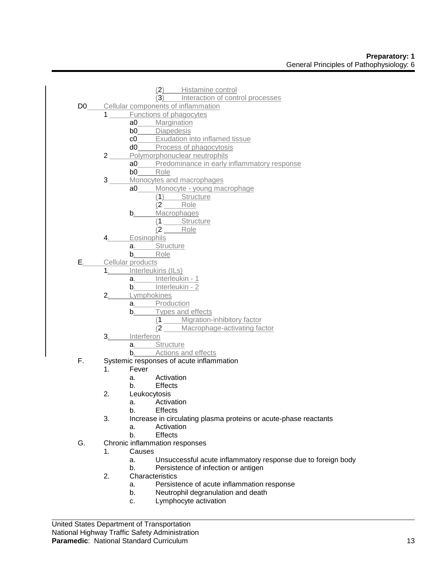|    |                        | (2) Histamine control                                                              |
|----|------------------------|------------------------------------------------------------------------------------|
|    |                        | (3) Interaction of control processes<br>D0_____Cellular components of inflammation |
|    |                        | 1 Functions of phagocytes                                                          |
|    |                        | <b>a0</b> Margination                                                              |
|    |                        | b0_____Diapedesis                                                                  |
|    |                        | c0_____ Exudation into inflamed tissue                                             |
|    |                        | d0_____Process of phagocytosis                                                     |
|    | $2\overline{)}$        | Polymorphonuclear neutrophils                                                      |
|    |                        |                                                                                    |
|    |                        |                                                                                    |
|    | 3 <sup>7</sup>         | Monocytes and macrophages                                                          |
|    |                        | a0_____ Monocyte - young macrophage                                                |
|    |                        | (1) Structure                                                                      |
|    |                        | $(2$ Role                                                                          |
|    |                        | b. Macrophages                                                                     |
|    |                        | (1 Structure                                                                       |
|    |                        | $(2$ Role                                                                          |
|    | 4.                     | Eosinophils                                                                        |
|    |                        |                                                                                    |
|    |                        | a. Structure<br>b. Role                                                            |
|    |                        | E <sub>.</sub> Cellular products                                                   |
|    |                        | 1. Interleukins (ILs)                                                              |
|    |                        | a. Interleukin - 1                                                                 |
|    |                        | b. Interleukin - 2                                                                 |
|    | $2 \underline{\qquad}$ | Lymphokines                                                                        |
|    |                        | a. Production                                                                      |
|    |                        | b. Types and effects                                                               |
|    |                        | (1 _____ Migration-inhibitory factor                                               |
|    |                        | (2 ____ Macrophage-activating factor                                               |
|    | $3_{\cdot}$            | Interferon                                                                         |
|    |                        | a. Structure                                                                       |
|    |                        | b. Actions and effects                                                             |
| F. |                        | Systemic responses of acute inflammation                                           |
|    | 1 <sub>1</sub>         | Fever                                                                              |
|    |                        | a. Activation                                                                      |
|    |                        | b. Effects                                                                         |
|    | 2.                     | Leukocytosis                                                                       |
|    |                        | Activation<br>а.                                                                   |
|    |                        | b.<br><b>Effects</b>                                                               |
|    | 3.                     | Increase in circulating plasma proteins or acute-phase reactants                   |
|    |                        | Activation<br>a.                                                                   |
|    |                        | b.<br><b>Effects</b>                                                               |
| G. |                        | Chronic inflammation responses                                                     |
|    | 1.                     | Causes                                                                             |
|    |                        | Unsuccessful acute inflammatory response due to foreign body<br>a.                 |
|    |                        | Persistence of infection or antigen<br>b.                                          |
|    | 2.                     | Characteristics                                                                    |
|    |                        | Persistence of acute inflammation response<br>a.                                   |
|    |                        | Neutrophil degranulation and death<br>b.                                           |
|    |                        | Lymphocyte activation<br>c.                                                        |
|    |                        |                                                                                    |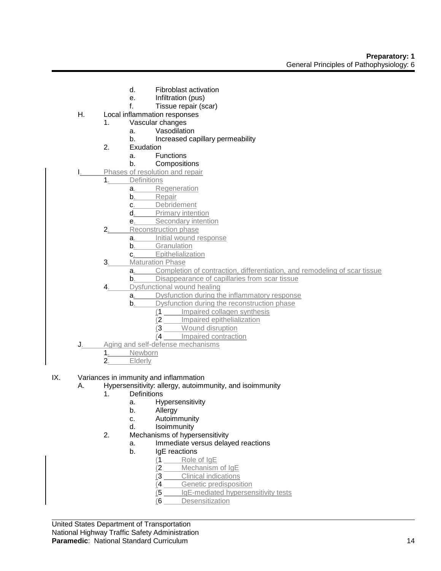- d. Fibroblast activation
- e. Infiltration (pus)
- f. Tissue repair (scar)
- H. Local inflammation responses
	- 1. Vascular changes
		- a. Vasodilation
		- b. Increased capillary permeability
	- 2. Exudation
		- a. Functions
			- b. Compositions
- Phases of resolution and repair
	- 1. Definitions
		- a. Regeneration
		- b. Repair
		- c. Debridement
		- d. Primary intention
		- e. Secondary intention
		- 2. Reconstruction phase
			- a. Initial wound response
			- b. Granulation
			- c. Epithelialization
		- 3. Maturation Phase
			- a. Completion of contraction, differentiation, and remodeling of scar tissue
			- **b**. Disappearance of capillaries from scar tissue
		- 4. Dysfunctional wound healing
			- a. Dysfunction during the inflammatory response
			- **b.** Dysfunction during the reconstruction phase
				- (1 Impaired collagen synthesis
				- (2 Impaired epithelialization
				- (3 Wound disruption
				- (4 Impaired contraction
- J. Aging and self-defense mechanisms
	- 1. Newborn<br>2. Elderly
		- **Elderly**
- IX. Variances in immunity and inflammation
	- A. Hypersensitivity: allergy, autoimmunity, and isoimmunity
		- 1. Definitions
			- a. Hypersensitivity
			- b. Allergy
			- c. Autoimmunity
			- d. Isoimmunity
		- 2. Mechanisms of hypersensitivity
			- a. Immediate versus delayed reactions
			- b. IgE reactions
				- (1 Role of IgE
				- (2 Mechanism of IgE
				- (3 Clinical indications
				- (4 Genetic predisposition
				- (5 IgE-mediated hypersensitivity tests
				- (6 Desensitization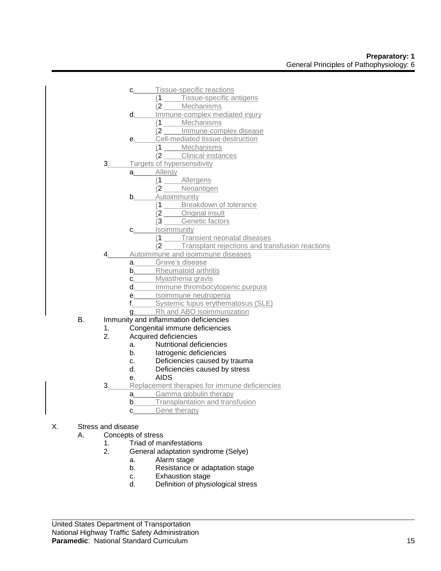- c. Tissue-specific reactions
	- (1 Tissue-specific antigens
	- (2 Mechanisms
- d. Immune-complex mediated injury
	- (1 Mechanisms
	- (2 Immune-complex disease
- e. Cell-mediated tissue destruction
	- $\frac{(1 \text{Mechanisms})}{(2 \text{ Clinical instar})}$
	- Clinical instances
- 3. Targets of hypersensitivity
	- a. Allergy
		- (1 Allergens
		- (2 Neoantigen
		- **b.** Autoimmunity
			- (1 Breakdown of tolerance
			- (2 Original insult
			- (3 Genetic factors
		- c. Isoimmunity
			- (1 Transient neonatal diseases
			- (2 Transplant rejections and transfusion reactions
- 4. Autoimmune and isoimmune diseases
	- a. Grave's disease
	- **b.** Rheumatoid arthritis
	- c. Myasthenia gravis
	- d. Immune thrombocytopenic purpura
	- e. Isoimmune neutropenia
	- f. Systemic lupus erythematosus (SLE)
	- g. Rh and ABO isoimmunization
- B. Immunity and inflammation deficiencies
	- 1. Congenital immune deficiencies
	- 2. Acquired deficiencies
		- a. Nutritional deficiencies
		- b. Iatrogenic deficiencies
		- c. Deficiencies caused by trauma
		- d. Deficiencies caused by stress
		- e. AIDS
	- 3. Replacement therapies for immune deficiencies
		- a. Gamma globulin therapy
		- **b**. Transplantation and transfusion
		- c. Gene therapy
- X. Stress and disease
	- A. Concepts of stress
		- 1. Triad of manifestations
		- 2. General adaptation syndrome (Selye)
			- a. Alarm stage
			- b. Resistance or adaptation stage
			- c. Exhaustion stage
			- d. Definition of physiological stress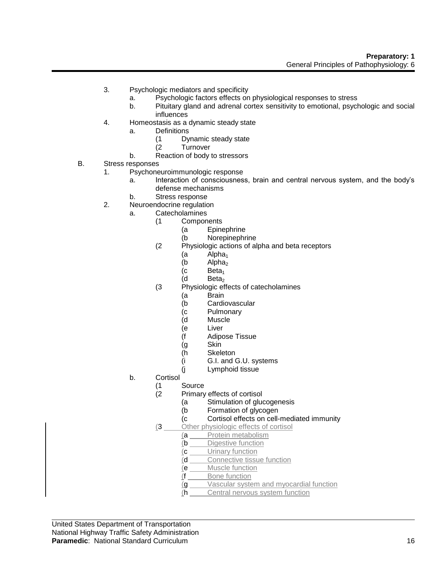- 3. Psychologic mediators and specificity
	- a. Psychologic factors effects on physiological responses to stress
	- b. Pituitary gland and adrenal cortex sensitivity to emotional, psychologic and social influences
- 4. Homeostasis as a dynamic steady state
	- a. Definitions
		- (1 Dynamic steady state
		- **Turnover**
	- b. Reaction of body to stressors
- B. Stress responses
	- 1. Psychoneuroimmunologic response
		- a. Interaction of consciousness, brain and central nervous system, and the body's defense mechanisms
		- b. Stress response
	- 2. Neuroendocrine regulation
		- a. Catecholamines
			- (1 Components
				- (a Epinephrine
				- (b Norepinephrine
			- (2 Physiologic actions of alpha and beta receptors
				- (a Alpha<sub>1</sub>)<br>(b Alpha<sub>2</sub>)
				- (b  $Alpha<sub>2</sub>$  (c Beta<sub>1</sub>
				- (c Beta<sub>1</sub>)<br>(d Beta<sub>2</sub>)
				- Beta<sub>2</sub>
			- (3 Physiologic effects of catecholamines
				- (a Brain
				- (b Cardiovascular
				- (c Pulmonary
				- (d Muscle
				- (e Liver
				- (f Adipose Tissue
				- (g Skin
				- (h Skeleton
				- (i G.I. and G.U. systems
				- (j Lymphoid tissue
		- b. Cortisol
			-
			- (1 Source Primary effects of cortisol
				- (a Stimulation of glucogenesis
				- (b Formation of glycogen
				- (c Cortisol effects on cell-mediated immunity
			- (3 Other physiologic effects of cortisol
				- (a Protein metabolism
					- (b Digestive function
					- (c Urinary function
					- (d Connective tissue function
					- (e Muscle function
					- (f Bone function
					- (g Vascular system and myocardial function
					- (h Central nervous system function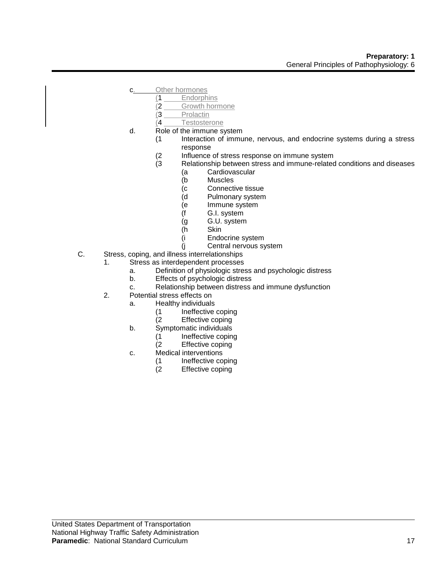- c. Other hormones
	- (1 Endorphins
		- (2 Growth hormone
	- $\frac{(3 \text{Prolactin})}{(4 \text{Testoster})}$
	- **Testosterone**
- d. Role of the immune system
	- (1 Interaction of immune, nervous, and endocrine systems during a stress response
		- (2 Influence of stress response on immune system<br>(3 Relationship between stress and immune-related
		- Relationship between stress and immune-related conditions and diseases
			- (a Cardiovascular
			- (b Muscles
			- (c Connective tissue
			- (d Pulmonary system
			- (e Immune system
			- (f G.I. system
			- (g G.U. system
			- (h Skin
			- (i Endocrine system
			- (j Central nervous system
- C. Stress, coping, and illness interrelationships
	- 1. Stress as interdependent processes
		- a. Definition of physiologic stress and psychologic distress
		- b. Effects of psychologic distress
		- c. Relationship between distress and immune dysfunction
	- 2. Potential stress effects on
		- a. Healthy individuals
			- (1 Ineffective coping
			- (2 Effective coping
		- b. Symptomatic individuals
			- (1 Ineffective coping<br>(2 Effective coping
			- Effective coping
		- c. Medical interventions
			- (1 Ineffective coping<br>(2 Effective coping
			- Effective coping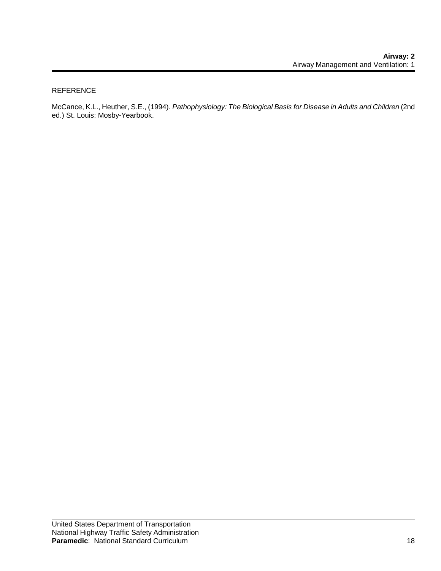#### REFERENCE

McCance, K.L., Heuther, S.E., (1994). *Pathophysiology: The Biological Basis for Disease in Adults and Children* (2nd ed.) St. Louis: Mosby-Yearbook.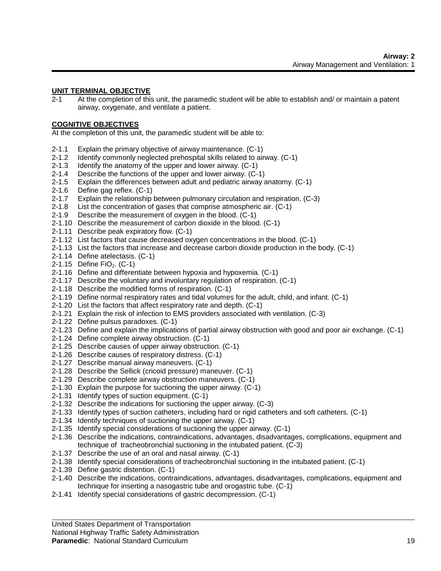#### **UNIT TERMINAL OBJECTIVE**

2-1 At the completion of this unit, the paramedic student will be able to establish and/ or maintain a patent airway, oxygenate, and ventilate a patient.

#### **COGNITIVE OBJECTIVES**

At the completion of this unit, the paramedic student will be able to:

- 2-1.1 Explain the primary objective of airway maintenance. (C-1)
- 2-1.2 Identify commonly neglected prehospital skills related to airway. (C-1)
- 2-1.3 Identify the anatomy of the upper and lower airway. (C-1)
- 2-1.4 Describe the functions of the upper and lower airway. (C-1)
- 2-1.5 Explain the differences between adult and pediatric airway anatomy. (C-1)
- 2-1.6 Define gag reflex. (C-1)
- 2-1.7 Explain the relationship between pulmonary circulation and respiration. (C-3)
- 2-1.8 List the concentration of gases that comprise atmospheric air. (C-1)
- 2-1.9 Describe the measurement of oxygen in the blood. (C-1)
- 2-1.10 Describe the measurement of carbon dioxide in the blood. (C-1)
- 2-1.11 Describe peak expiratory flow. (C-1)
- 2-1.12 List factors that cause decreased oxygen concentrations in the blood. (C-1)
- 2-1.13 List the factors that increase and decrease carbon dioxide production in the body. (C-1)
- 2-1.14 Define atelectasis. (C-1)
- $2-1.15$  Define FiO<sub>2</sub>. (C-1)
- 2-1.16 Define and differentiate between hypoxia and hypoxemia. (C-1)
- 2-1.17 Describe the voluntary and involuntary regulation of respiration. (C-1)
- 2-1.18 Describe the modified forms of respiration. (C-1)
- 2-1.19 Define normal respiratory rates and tidal volumes for the adult, child, and infant. (C-1)
- 2-1.20 List the factors that affect respiratory rate and depth. (C-1)
- 2-1.21 Explain the risk of infection to EMS providers associated with ventilation. (C-3)
- 2-1.22 Define pulsus paradoxes. (C-1)
- 2-1.23 Define and explain the implications of partial airway obstruction with good and poor air exchange. (C-1)
- 2-1.24 Define complete airway obstruction. (C-1)
- 2-1.25 Describe causes of upper airway obstruction. (C-1)
- 2-1.26 Describe causes of respiratory distress. (C-1)
- 2-1.27 Describe manual airway maneuvers. (C-1)
- 2-1.28 Describe the Sellick (cricoid pressure) maneuver. (C-1)
- 2-1.29 Describe complete airway obstruction maneuvers. (C-1)
- 2-1.30 Explain the purpose for suctioning the upper airway. (C-1)
- 2-1.31 Identify types of suction equipment. (C-1)
- 2-1.32 Describe the indications for suctioning the upper airway. (C-3)
- 2-1.33 Identify types of suction catheters, including hard or rigid catheters and soft catheters. (C-1)
- 2-1.34 Identify techniques of suctioning the upper airway. (C-1)
- 2-1.35 Identify special considerations of suctioning the upper airway. (C-1)
- 2-1.36 Describe the indications, contraindications, advantages, disadvantages, complications, equipment and technique of tracheobronchial suctioning in the intubated patient. (C-3)
- 2-1.37 Describe the use of an oral and nasal airway. (C-1)
- 2-1.38 Identify special considerations of tracheobronchial suctioning in the intubated patient. (C-1)
- 2-1.39 Define gastric distention. (C-1)
- 2-1.40 Describe the indications, contraindications, advantages, disadvantages, complications, equipment and technique for inserting a nasogastric tube and orogastric tube. (C-1)
- 2-1.41 Identify special considerations of gastric decompression. (C-1)

United States Department of Transportation National Highway Traffic Safety Administration

#### **Paramedic**: National Standard Curriculum 19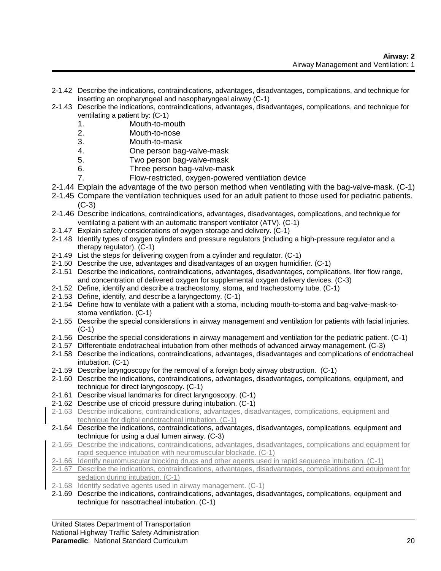- 2-1.42 Describe the indications, contraindications, advantages, disadvantages, complications, and technique for inserting an oropharyngeal and nasopharyngeal airway (C-1)
- 2-1.43 Describe the indications, contraindications, advantages, disadvantages, complications, and technique for ventilating a patient by: (C-1)
	- 1. Mouth-to-mouth
	- 2. Mouth-to-nose
	- 3. Mouth-to-mask
	- 4. One person bag-valve-mask
	- 5. Two person bag-valve-mask
	- 6. Three person bag-valve-mask
	- 7. Flow-restricted, oxygen-powered ventilation device
- 2-1.44 Explain the advantage of the two person method when ventilating with the bag-valve-mask. (C-1)
- 2-1.45 Compare the ventilation techniques used for an adult patient to those used for pediatric patients.  $(C-3)$
- 2-1.46 Describe indications, contraindications, advantages, disadvantages, complications, and technique for ventilating a patient with an automatic transport ventilator (ATV). (C-1)
- 2-1.47 Explain safety considerations of oxygen storage and delivery. (C-1)
- 2-1.48 Identify types of oxygen cylinders and pressure regulators (including a high-pressure regulator and a therapy regulator). (C-1)
- 2-1.49 List the steps for delivering oxygen from a cylinder and regulator. (C-1)
- 2-1.50 Describe the use, advantages and disadvantages of an oxygen humidifier. (C-1)
- 2-1.51 Describe the indications, contraindications, advantages, disadvantages, complications, liter flow range, and concentration of delivered oxygen for supplemental oxygen delivery devices. (C-3)
- 2-1.52 Define, identify and describe a tracheostomy, stoma, and tracheostomy tube. (C-1)
- 2-1.53 Define, identify, and describe a laryngectomy. (C-1)
- 2-1.54 Define how to ventilate with a patient with a stoma, including mouth-to-stoma and bag-valve-mask-tostoma ventilation. (C-1)
- 2-1.55 Describe the special considerations in airway management and ventilation for patients with facial injuries. (C-1)
- 2-1.56 Describe the special considerations in airway management and ventilation for the pediatric patient. (C-1)
- 2-1.57 Differentiate endotracheal intubation from other methods of advanced airway management. (C-3)
- 2-1.58 Describe the indications, contraindications, advantages, disadvantages and complications of endotracheal intubation. (C-1)
- 2-1.59 Describe laryngoscopy for the removal of a foreign body airway obstruction. (C-1)
- 2-1.60 Describe the indications, contraindications, advantages, disadvantages, complications, equipment, and technique for direct laryngoscopy. (C-1)
- 2-1.61 Describe visual landmarks for direct laryngoscopy. (C-1)
- 2-1.62 Describe use of cricoid pressure during intubation. (C-1)
- 2-1.63 Describe indications, contraindications, advantages, disadvantages, complications, equipment and technique for digital endotracheal intubation. (C-1)
- 2-1.64 Describe the indications, contraindications, advantages, disadvantages, complications, equipment and technique for using a dual lumen airway. (C-3)
- 2-1.65 Describe the indications, contraindications, advantages, disadvantages, complications and equipment for rapid sequence intubation with neuromuscular blockade. (C-1)
- 2-1.66 Identify neuromuscular blocking drugs and other agents used in rapid sequence intubation. (C-1)
- 2-1.67 Describe the indications, contraindications, advantages, disadvantages, complications and equipment for sedation during intubation. (C-1)
- 2-1.68 Identify sedative agents used in airway management. (C-1)
- 2-1.69 Describe the indications, contraindications, advantages, disadvantages, complications, equipment and technique for nasotracheal intubation. (C-1)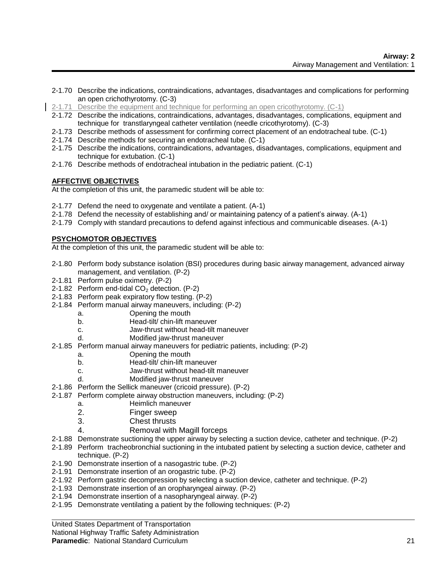- 2-1.70 Describe the indications, contraindications, advantages, disadvantages and complications for performing an open crichothyrotomy. (C-3)
- 2-1.71 Describe the equipment and technique for performing an open cricothyrotomy. (C-1)
- 2-1.72 Describe the indications, contraindications, advantages, disadvantages, complications, equipment and technique for transtlaryngeal catheter ventilation (needle cricothyrotomy). (C-3)
- 2-1.73 Describe methods of assessment for confirming correct placement of an endotracheal tube. (C-1)
- 2-1.74 Describe methods for securing an endotracheal tube. (C-1)
- 2-1.75 Describe the indications, contraindications, advantages, disadvantages, complications, equipment and technique for extubation. (C-1)
- 2-1.76 Describe methods of endotracheal intubation in the pediatric patient. (C-1)

#### **AFFECTIVE OBJECTIVES**

At the completion of this unit, the paramedic student will be able to:

- 2-1.77 Defend the need to oxygenate and ventilate a patient. (A-1)
- 2-1.78 Defend the necessity of establishing and/ or maintaining patency of a patient's airway. (A-1)
- 2-1.79 Comply with standard precautions to defend against infectious and communicable diseases. (A-1)

### **PSYCHOMOTOR OBJECTIVES**

At the completion of this unit, the paramedic student will be able to:

- 2-1.80 Perform body substance isolation (BSI) procedures during basic airway management, advanced airway management, and ventilation. (P-2)
- 2-1.81 Perform pulse oximetry. (P-2)
- 2-1.82 Perform end-tidal  $CO<sub>2</sub>$  detection. (P-2)
- 2-1.83 Perform peak expiratory flow testing. (P-2)
- 2-1.84 Perform manual airway maneuvers, including: (P-2)
	- a. Opening the mouth
	- b. Head-tilt/ chin-lift maneuver
	- c. Jaw-thrust without head-tilt maneuver
	- d. Modified jaw-thrust maneuver
- 2-1.85 Perform manual airway maneuvers for pediatric patients, including: (P-2)
	- a. Opening the mouth
	- b. Head-tilt/ chin-lift maneuver
	- c. Jaw-thrust without head-tilt maneuver
	- d. Modified jaw-thrust maneuver
- 2-1.86 Perform the Sellick maneuver (cricoid pressure). (P-2)
- 2-1.87 Perform complete airway obstruction maneuvers, including: (P-2)
	- a. Heimlich maneuver
	- 2. Finger sweep
	- 3. Chest thrusts
	- 4. Removal with Magill forceps
- 2-1.88 Demonstrate suctioning the upper airway by selecting a suction device, catheter and technique. (P-2)
- 2-1.89 Perform tracheobronchial suctioning in the intubated patient by selecting a suction device, catheter and technique. (P-2)
- 2-1.90 Demonstrate insertion of a nasogastric tube. (P-2)
- 2-1.91 Demonstrate insertion of an orogastric tube. (P-2)
- 2-1.92 Perform gastric decompression by selecting a suction device, catheter and technique. (P-2)
- 2-1.93 Demonstrate insertion of an oropharyngeal airway. (P-2)
- 2-1.94 Demonstrate insertion of a nasopharyngeal airway. (P-2)
- 2-1.95 Demonstrate ventilating a patient by the following techniques: (P-2)

United States Department of Transportation

National Highway Traffic Safety Administration

#### **Paramedic**: National Standard Curriculum 21 21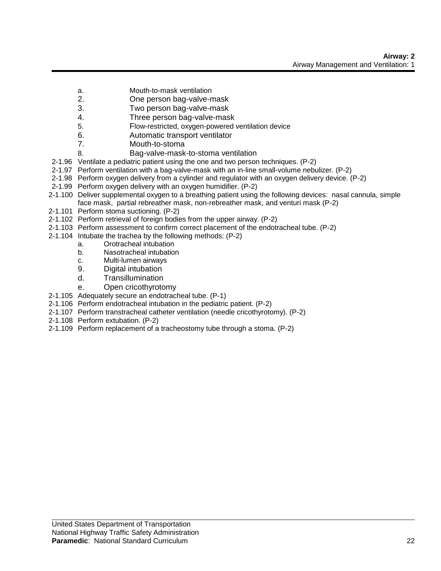- a. Mouth-to-mask ventilation
- 2. One person bag-valve-mask
- 3. Two person bag-valve-mask
- 4. Three person bag-valve-mask
- 5. Flow-restricted, oxygen-powered ventilation device
- 6. Automatic transport ventilator
- 7. Mouth-to-stoma
- 8. Bag-valve-mask-to-stoma ventilation
- 2-1.96 Ventilate a pediatric patient using the one and two person techniques. (P-2)
- 2-1.97 Perform ventilation with a bag-valve-mask with an in-line small-volume nebulizer. (P-2)
- 2-1.98 Perform oxygen delivery from a cylinder and regulator with an oxygen delivery device. (P-2)
- 2-1.99 Perform oxygen delivery with an oxygen humidifier. (P-2)
- 2-1.100 Deliver supplemental oxygen to a breathing patient using the following devices: nasal cannula, simple face mask, partial rebreather mask, non-rebreather mask, and venturi mask (P-2)
- 2-1.101 Perform stoma suctioning. (P-2)
- 2-1.102 Perform retrieval of foreign bodies from the upper airway. (P-2)
- 2-1.103 Perform assessment to confirm correct placement of the endotracheal tube. (P-2)
- 2-1.104 Intubate the trachea by the following methods: (P-2)
	- a. Orotracheal intubation
	- b. Nasotracheal intubation
	- c. Multi-lumen airways
	- 9. Digital intubation
	- d. Transillumination
	- e. Open cricothyrotomy
- 2-1.105 Adequately secure an endotracheal tube. (P-1)
- 2-1.106 Perform endotracheal intubation in the pediatric patient. (P-2)
- 2-1.107 Perform transtracheal catheter ventilation (needle cricothyrotomy). (P-2)
- 2-1.108 Perform extubation. (P-2)
- 2-1.109 Perform replacement of a tracheostomy tube through a stoma. (P-2)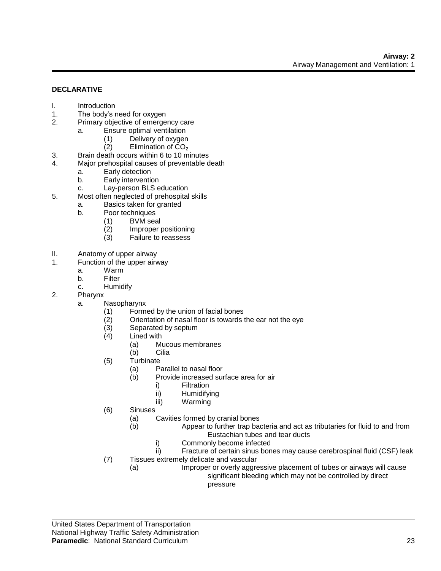#### **DECLARATIVE**

- I. Introduction
- 1. The body's need for oxygen
- 2. Primary objective of emergency care
	- a. Ensure optimal ventilation
		- (1) Delivery of oxygen
			- $(2)$  Elimination of  $CO<sub>2</sub>$
- 3. Brain death occurs within 6 to 10 minutes
- 4. Major prehospital causes of preventable death
	- a. Early detection
	- b. Early intervention
	- c. Lay-person BLS education
- 5. Most often neglected of prehospital skills
	- a. Basics taken for granted
	- b. Poor techniques
		- (1) BVM seal
		- (2) Improper positioning
		- (3) Failure to reassess
- II. Anatomy of upper airway<br>1 Function of the upper airv
- Function of the upper airway
	- a. Warm
	- b. Filter
	- c. Humidify
- 2. Pharynx
	- a. Nasopharynx
		- (1) Formed by the union of facial bones
		- (2) Orientation of nasal floor is towards the ear not the eye
		- (3) Separated by septum
		- (4) Lined with
			- (a) Mucous membranes
			- (b) Cilia
		- (5) Turbinate
			- (a) Parallel to nasal floor
			- (b) Provide increased surface area for air
				- i) Filtration
				- ii) Humidifying
				- iii) Warming
		- (6) Sinuses
			- (a) Cavities formed by cranial bones
			- (b) Appear to further trap bacteria and act as tributaries for fluid to and from Eustachian tubes and tear ducts
				- i) Commonly become infected
		- ii) Fracture of certain sinus bones may cause cerebrospinal fluid (CSF) leak (7) Tissues extremely delicate and vascular
			- (a) Improper or overly aggressive placement of tubes or airways will cause significant bleeding which may not be controlled by direct pressure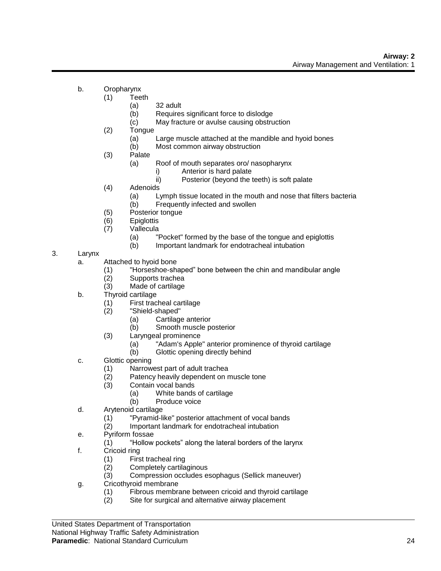- b. Oropharynx
	- (1) Teeth
		- (a) 32 adult
		- (b) Requires significant force to dislodge
		- (c) May fracture or avulse causing obstruction
		- (2) Tongue
			- (a) Large muscle attached at the mandible and hyoid bones
			- (b) Most common airway obstruction
		- (3) Palate
			- (a) Roof of mouth separates oro/ nasopharynx
				- i) Anterior is hard palate
				- ii) Posterior (beyond the teeth) is soft palate
		- (4) Adenoids
			- (a) Lymph tissue located in the mouth and nose that filters bacteria
			- (b) Frequently infected and swollen
		- (5) Posterior tongue
		- (6) Epiglottis
		- (7) Vallecula
			- (a) "Pocket" formed by the base of the tongue and epiglottis
			- (b) Important landmark for endotracheal intubation
- 3. Larynx
	- a. Attached to hyoid bone
		- (1) "Horseshoe-shaped" bone between the chin and mandibular angle
		- (2) Supports trachea
		- (3) Made of cartilage
	- b. Thyroid cartilage
		- (1) First tracheal cartilage
		- (2) "Shield-shaped"
			- (a) Cartilage anterior
			- (b) Smooth muscle posterior
		- (3) Laryngeal prominence
			- (a) "Adam's Apple" anterior prominence of thyroid cartilage
			- (b) Glottic opening directly behind
	- c. Glottic opening
		- (1) Narrowest part of adult trachea
		- (2) Patency heavily dependent on muscle tone
		- (3) Contain vocal bands
			- (a) White bands of cartilage
			- (b) Produce voice
	- d. Arytenoid cartilage
		- (1) "Pyramid-like" posterior attachment of vocal bands
		- (2) Important landmark for endotracheal intubation
	- e. Pyriform fossae
		- (1) "Hollow pockets" along the lateral borders of the larynx
	- f. Cricoid ring
		- (1) First tracheal ring
		- (2) Completely cartilaginous
		- (3) Compression occludes esophagus (Sellick maneuver)
	- g. Cricothyroid membrane
		- (1) Fibrous membrane between cricoid and thyroid cartilage
		- (2) Site for surgical and alternative airway placement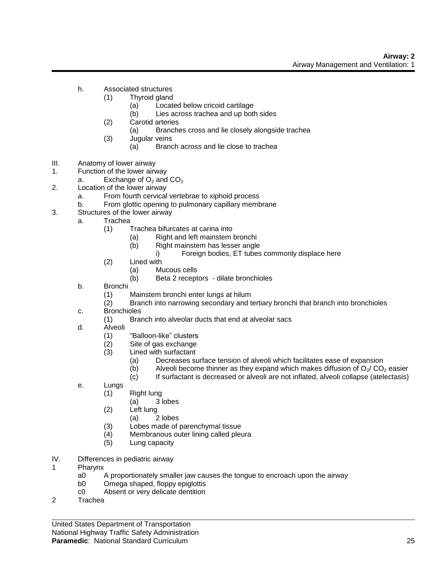- h. Associated structures
	- (1) Thyroid gland
		- (a) Located below cricoid cartilage
		- (b) Lies across trachea and up both sides
	- (2) Carotid arteries
		- (a) Branches cross and lie closely alongside trachea
	- (3) Jugular veins
		- (a) Branch across and lie close to trachea
- III. Anatomy of lower airway
- 1. Function of the lower airway
- a. Exchange of  $O_2$  and  $CO_2$
- 2. Location of the lower airway
	- a. From fourth cervical vertebrae to xiphoid process
	- b. From glottic opening to pulmonary capillary membrane
- 3. Structures of the lower airway
	- a. Trachea
		- (1) Trachea bifurcates at carina into
			- (a) Right and left mainstem bronchi
				- (b) Right mainstem has lesser angle
					- i) Foreign bodies, ET tubes commonly displace here
		- (2) Lined with
			- (a) Mucous cells
			- (b) Beta 2 receptors dilate bronchioles
	- b. Bronchi
		- (1) Mainstem bronchi enter lungs at hilum
		- (2) Branch into narrowing secondary and tertiary bronchi that branch into bronchioles
	- c. Bronchioles
		- (1) Branch into alveolar ducts that end at alveolar sacs
	- d. Alveoli
		- (1) "Balloon-like" clusters
		- (2) Site of gas exchange
		- (3) Lined with surfactant
			- (a) Decreases surface tension of alveoli which facilitates ease of expansion (b) Alveoli become thinner as they expand which makes diffusion of  $O_2$ / CO
			- (b) Alveoli become thinner as they expand which makes diffusion of  $O_2$ / CO<sub>2</sub> easier (c) If surfactant is decreased or alveoli are not inflated, alveoli collapse (atelectasis)
			- If surfactant is decreased or alveoli are not inflated, alveoli collapse (atelectasis)
	- e. Lungs
		- (1) Right lung
			- (a) 3 lobes
		- (2) Left lung
			- (a) 2 lobes
		- (3) Lobes made of parenchymal tissue
		- (4) Membranous outer lining called pleura
		- (5) Lung capacity
- IV. Differences in pediatric airway
- 1 Pharynx
	- a0 A proportionately smaller jaw causes the tongue to encroach upon the airway
	- b0 Omega shaped, floppy epiglottis
	- c0 Absent or very delicate dentition
- 2 Trachea

United States Department of Transportation National Highway Traffic Safety Administration

#### **Paramedic**: National Standard Curriculum 25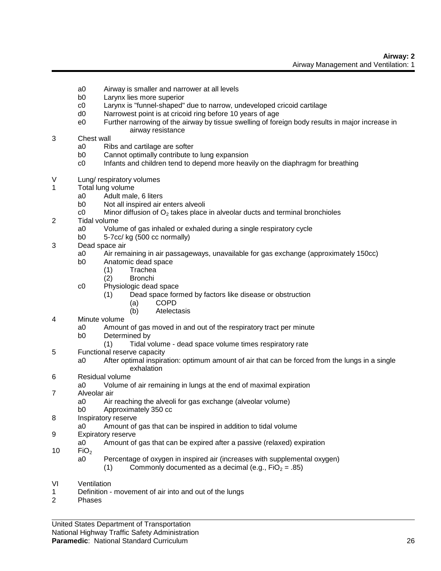- a0 Airway is smaller and narrower at all levels
- b0 Larynx lies more superior
- c0 Larynx is "funnel-shaped" due to narrow, undeveloped cricoid cartilage
- d0 Narrowest point is at cricoid ring before 10 years of age
- e0 Further narrowing of the airway by tissue swelling of foreign body results in major increase in airway resistance

#### 3 Chest wall

- a0 Ribs and cartilage are softer
- b0 Cannot optimally contribute to lung expansion
- c0 Infants and children tend to depend more heavily on the diaphragm for breathing
- V Lung/ respiratory volumes
- 1 Total lung volume
	- a0 Adult male, 6 liters
	- b0 Not all inspired air enters alveoli
	- c0 Minor diffusion of  $O_2$  takes place in alveolar ducts and terminal bronchioles
- 2 Tidal volume
	- a0 Volume of gas inhaled or exhaled during a single respiratory cycle
	- b0 5-7cc/ kg (500 cc normally)
- 3 Dead space air
	- a0 Air remaining in air passageways, unavailable for gas exchange (approximately 150cc)
	- b0 Anatomic dead space
		- (1) Trachea
		- (2) Bronchi
	- c0 Physiologic dead space
		- (1) Dead space formed by factors like disease or obstruction
			- (a) COPD
			- (b) Atelectasis
- 4 Minute volume
	- a0 Amount of gas moved in and out of the respiratory tract per minute
		- b0 Determined by
			- (1) Tidal volume dead space volume times respiratory rate
- 5 Functional reserve capacity
	- a0 After optimal inspiration: optimum amount of air that can be forced from the lungs in a single exhalation
- 6 Residual volume
	- a0 Volume of air remaining in lungs at the end of maximal expiration
- 7 Alveolar air
	- a0 Air reaching the alveoli for gas exchange (alveolar volume)
	- b0 Approximately 350 cc
- 8 Inspiratory reserve
- a0 Amount of gas that can be inspired in addition to tidal volume
- 9 Expiratory reserve
	- a0 Amount of gas that can be expired after a passive (relaxed) expiration
- 10  $FiO<sub>2</sub>$  a0
	- Percentage of oxygen in inspired air (increases with supplemental oxygen)
		- (1) Commonly documented as a decimal (e.g.,  $FiO<sub>2</sub> = .85$ )
- VI Ventilation
- 1 Definition movement of air into and out of the lungs
- 2 Phases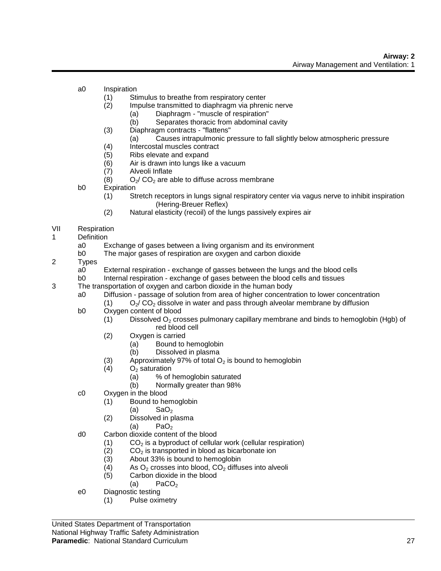- a0 Inspiration
	- (1) Stimulus to breathe from respiratory center
	- (2) Impulse transmitted to diaphragm via phrenic nerve
		- (a) Diaphragm "muscle of respiration"
			- (b) Separates thoracic from abdominal cavity
	- (3) Diaphragm contracts "flattens"
		- (a) Causes intrapulmonic pressure to fall slightly below atmospheric pressure
	- (4) Intercostal muscles contract
	- (5) Ribs elevate and expand
	- (6) Air is drawn into lungs like a vacuum
	- (7) Alveoli Inflate
	- (8)  $O_2$  CO<sub>2</sub> are able to diffuse across membrane
- b0 Expiration
	- (1) Stretch receptors in lungs signal respiratory center via vagus nerve to inhibit inspiration (Hering-Breuer Reflex)
	- (2) Natural elasticity (recoil) of the lungs passively expires air
- VII Respiration
- 1 Definition
	- a0 Exchange of gases between a living organism and its environment
	- b0 The major gases of respiration are oxygen and carbon dioxide
- 2 Types
	- a0 External respiration exchange of gasses between the lungs and the blood cells
	- b0 Internal respiration exchange of gases between the blood cells and tissues
- 3 The transportation of oxygen and carbon dioxide in the human body
	- a0 Diffusion passage of solution from area of higher concentration to lower concentration
		- (1)  $O_2$  CO<sub>2</sub> dissolve in water and pass through alveolar membrane by diffusion
	- b0 Oxygen content of blood
		- (1) Dissolved  $O<sub>2</sub>$  crosses pulmonary capillary membrane and binds to hemoglobin (Hgb) of red blood cell
			- (2) Oxygen is carried
				- (a) Bound to hemoglobin
				- (b) Dissolved in plasma
			- (3) Approximately 97% of total  $O_2$  is bound to hemoglobin (4)  $O_2$  saturation
			- $O<sub>2</sub>$  saturation
				- (a) % of hemoglobin saturated
				- (b) Normally greater than 98%
	- c0 Oxygen in the blood
		- (1) Bound to hemoglobin
			- (a)  $\text{SaO}_2$
		- (2) Dissolved in plasma
			- $(a)$  PaO<sub>2</sub>
	- d0 Carbon dioxide content of the blood
		- $(1)$  CO<sub>2</sub> is a byproduct of cellular work (cellular respiration)
		- (2)  $CO<sub>2</sub>$  is transported in blood as bicarbonate ion (3) About 33% is bound to hemoglobin
		- About 33% is bound to hemoglobin
		- (4) As  $O_2$  crosses into blood,  $CO_2$  diffuses into alveoli
		- (5) Carbon dioxide in the blood
		- (a)  $\blacksquare$  PaCO<sub>2</sub>
	- e0 Diagnostic testing
		- (1) Pulse oximetry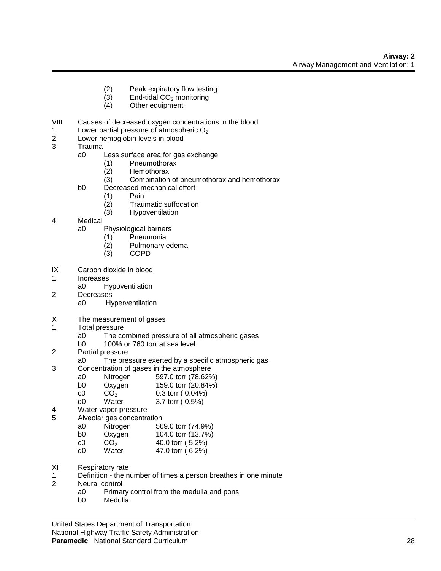- (2) Peak expiratory flow testing
- (3) End-tidal  $CO<sub>2</sub>$  monitoring<br>(4) Other equipment
- Other equipment
- VIII Causes of decreased oxygen concentrations in the blood
- 1 Lower partial pressure of atmospheric  $O_2$ <br>2 Lower hemoglobin levels in blood
- Lower hemoglobin levels in blood
- 3 Trauma
	- a0 Less surface area for gas exchange
		- (1) Pneumothorax
		- Hemothorax
		- (3) Combination of pneumothorax and hemothorax
	- b0 Decreased mechanical effort
		- (1) Pain
			- (2) Traumatic suffocation
			- (3) Hypoventilation
- 4 Medical
	- a0 Physiological barriers
		- (1) Pneumonia
		- (2) Pulmonary edema
		- (3) COPD
- IX Carbon dioxide in blood
- 1 Increases
	- a0 Hypoventilation
- 2 Decreases
	- a0 Hyperventilation
- X The measurement of gases
- 1 Total pressure
	- a0 The combined pressure of all atmospheric gases
	- b0 100% or 760 torr at sea level
- 2 Partial pressure
	- a0 The pressure exerted by a specific atmospheric gas
- 3 Concentration of gases in the atmosphere
	- a0 Nitrogen 597.0 torr (78.62%)<br>b0 Oxygen 159.0 torr (20.84%)
	- b0 Oxygen 159.0 torr (20.84%)
	- c0  $CO_2$  0.3 torr ( 0.04%)<br>d0 Water 3.7 torr ( 0.5%)
		- $3.7$  torr (  $0.5%$ )
- 4 Water vapor pressure
- 5 Alveolar gas concentration
	- a0 Nitrogen 569.0 torr (74.9%) b0 Oxygen 104.0 torr (13.7%)
	-
	- c0  $CO_2$  40.0 torr (5.2%)<br>d0 Water 47.0 torr (6.2%) d0 Water 47.0 torr ( 6.2%)
- XI Respiratory rate
- 1 Definition the number of times a person breathes in one minute
- 2 Neural control
	- a0 Primary control from the medulla and pons
	- b0 Medulla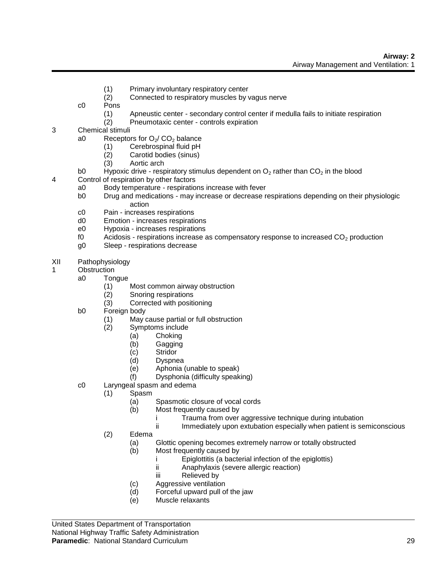- (1) Primary involuntary respiratory center
- (2) Connected to respiratory muscles by vagus nerve
- c0 Pons
	- (1) Apneustic center secondary control center if medulla fails to initiate respiration
	- (2) Pneumotaxic center controls expiration
- 3 Chemical stimuli
	- a0 Receptors for  $O_2$ / CO<sub>2</sub> balance
		- (1) Cerebrospinal fluid pH
		- (2) Carotid bodies (sinus)
		- Aortic arch
	- b0 Hypoxic drive respiratory stimulus dependent on  $O_2$  rather than  $CO_2$  in the blood
- 4 Control of respiration by other factors
	- a0 Body temperature respirations increase with fever
	- b0 Drug and medications may increase or decrease respirations depending on their physiologic action
	- c0 Pain increases respirations
	- d0 Emotion increases respirations
	- e0 Hypoxia increases respirations
	- f0 Acidosis respirations increase as compensatory response to increased  $CO<sub>2</sub>$  production
	- g0 Sleep respirations decrease
- XII Pathophysiology
- 1 Obstruction
	- a0 Tongue
		- (1) Most common airway obstruction
		- (2) Snoring respirations
		- (3) Corrected with positioning
	- b0 Foreign body
		- (1) May cause partial or full obstruction
		- (2) Symptoms include
			- (a) Choking
			- (b) Gagging
			- (c) Stridor
			- (d) Dyspnea
			- (e) Aphonia (unable to speak)
			- (f) Dysphonia (difficulty speaking)
	- c0 Laryngeal spasm and edema
		- (1) Spasm
			- (a) Spasmotic closure of vocal cords
			- (b) Most frequently caused by
				- i Trauma from over aggressive technique during intubation<br>ii Immediately upon extubation especially when patient is se
				- Immediately upon extubation especially when patient is semiconscious
		- (2) Edema
			- (a) Glottic opening becomes extremely narrow or totally obstructed
			- (b) Most frequently caused by
				- i Epiglottitis (a bacterial infection of the epiglottis)
				- ii Anaphylaxis (severe allergic reaction)
				- iii Relieved by
				- (c) Aggressive ventilation
				- (d) Forceful upward pull of the jaw
				- (e) Muscle relaxants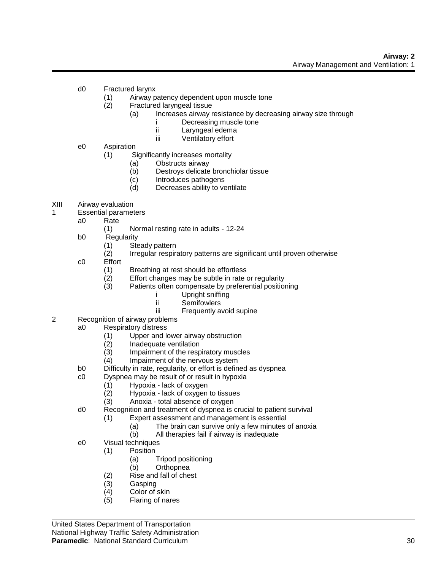- d0 Fractured larynx
	- (1) Airway patency dependent upon muscle tone
	- (2) Fractured laryngeal tissue
		- (a) Increases airway resistance by decreasing airway size through
			- i Decreasing muscle tone
			- ii Laryngeal edema
			- iii Ventilatory effort
- e0 Aspiration
	- (1) Significantly increases mortality
		- (a) Obstructs airway
		- (b) Destroys delicate bronchiolar tissue
		- (c) Introduces pathogens
		- (d) Decreases ability to ventilate
- XIII Airway evaluation
- 1 Essential parameters
	- a0 Rate
		- (1) Normal resting rate in adults 12-24
	- b0 Regularity
		- (1) Steady pattern
		- (2) Irregular respiratory patterns are significant until proven otherwise
	- c0 Effort
		- (1) Breathing at rest should be effortless
		- (2) Effort changes may be subtle in rate or regularity
		- (3) Patients often compensate by preferential positioning
			- i Upright sniffing
			- ii Semifowlers
			- iii Frequently avoid supine
- 2 Recognition of airway problems
	- a0 Respiratory distress
		- (1) Upper and lower airway obstruction
		- (2) Inadequate ventilation
		- (3) Impairment of the respiratory muscles
		- (4) Impairment of the nervous system
		- b0 Difficulty in rate, regularity, or effort is defined as dyspnea
		- c0 Dyspnea may be result of or result in hypoxia
			- (1) Hypoxia lack of oxygen
			- (2) Hypoxia lack of oxygen to tissues
			- (3) Anoxia total absence of oxygen
		- d0 Recognition and treatment of dyspnea is crucial to patient survival
			- (1) Expert assessment and management is essential
				- (a) The brain can survive only a few minutes of anoxia
				- (b) All therapies fail if airway is inadequate
		- e0 Visual techniques
			- (1) Position
				- (a) Tripod positioning
				- (b) Orthopnea
			- (2) Rise and fall of chest
			- (3) Gasping
			- (4) Color of skin
			- (5) Flaring of nares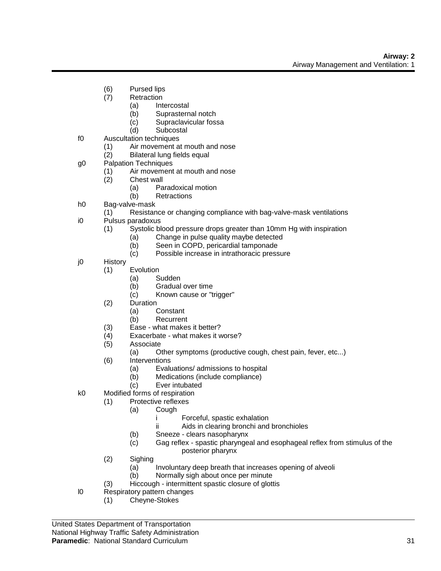- (6) Pursed lips
- (7) Retraction
	- (a) Intercostal
	- (b) Suprasternal notch
	- (c) Supraclavicular fossa
	- (d) Subcostal
- f0 Auscultation techniques
	- (1) Air movement at mouth and nose
	- (2) Bilateral lung fields equal
- g0 Palpation Techniques
	- (1) Air movement at mouth and nose
	- (2) Chest wall
		- (a) Paradoxical motion
		- (b) Retractions
- h0 Bag-valve-mask
	- (1) Resistance or changing compliance with bag-valve-mask ventilations
- i0 Pulsus paradoxus
	- (1) Systolic blood pressure drops greater than 10mm Hg with inspiration
		- (a) Change in pulse quality maybe detected
		- (b) Seen in COPD, pericardial tamponade
		- (c) Possible increase in intrathoracic pressure
- j0 History
	- (1) Evolution
		- (a) Sudden
		- (b) Gradual over time
		- (c) Known cause or "trigger"
	- (2) Duration
		- (a) Constant
		- (b) Recurrent
	- (3) Ease what makes it better?
	- (4) Exacerbate what makes it worse?
	- (5) Associate
		- (a) Other symptoms (productive cough, chest pain, fever, etc...)
	- (6) Interventions
		- (a) Evaluations/ admissions to hospital
		- (b) Medications (include compliance)
		- (c) Ever intubated
- k0 Modified forms of respiration
	- (1) Protective reflexes
		- (a) Cough
			- i Forceful, spastic exhalation
			- ii Aids in clearing bronchi and bronchioles
			- (b) Sneeze clears nasopharynx
			- (c) Gag reflex spastic pharyngeal and esophageal reflex from stimulus of the posterior pharynx
	- (2) Sighing
		- (a) Involuntary deep breath that increases opening of alveoli
		- (b) Normally sigh about once per minute
	- (3) Hiccough intermittent spastic closure of glottis
- l0 Respiratory pattern changes
	- (1) Cheyne-Stokes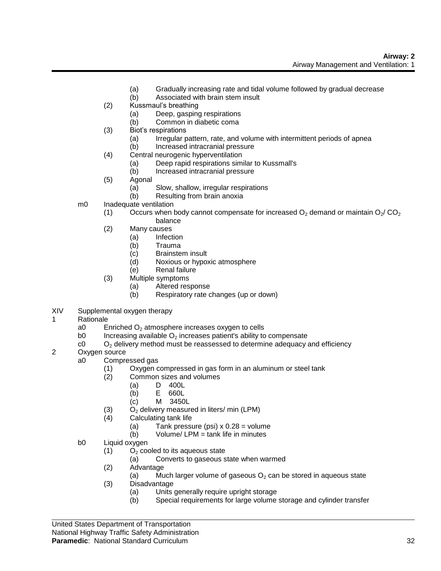- (a) Gradually increasing rate and tidal volume followed by gradual decrease
- (b) Associated with brain stem insult
- (2) Kussmaul's breathing
	- (a) Deep, gasping respirations
	- (b) Common in diabetic coma
- (3) Biot's respirations
	- (a) Irregular pattern, rate, and volume with intermittent periods of apnea
- (b) Increased intracranial pressure (4) Central neurogenic hyperventilation
	- (a) Deep rapid respirations similar to Kussmall's
		- (b) Increased intracranial pressure
- (5) Agonal
	- (a) Slow, shallow, irregular respirations
	- (b) Resulting from brain anoxia
- m0 Inadequate ventilation
	- (1) Occurs when body cannot compensate for increased  $O_2$  demand or maintain  $O_2$ / $CO_2$ balance
	- (2) Many causes
		- (a) Infection
			- (b) Trauma
			- (c) Brainstem insult
			- (d) Noxious or hypoxic atmosphere
			- (e) Renal failure
	- (3) Multiple symptoms
		- (a) Altered response
		- (b) Respiratory rate changes (up or down)
- XIV Supplemental oxygen therapy
- 1 Rationale
	- a0 Enriched  $O<sub>2</sub>$  atmosphere increases oxygen to cells
	- b0 Increasing available  $O<sub>2</sub>$  increases patient's ability to compensate
	- $c_0$  O<sub>2</sub> delivery method must be reassessed to determine adequacy and efficiency
- 2 Oxygen source
	- a0 Compressed gas
		- (1) Oxygen compressed in gas form in an aluminum or steel tank
		- (2) Common sizes and volumes
			- (a) D 400L
			- (b) E 660L
			- (c) M 3450L
		- (3)  $O_2$  delivery measured in liters/ min (LPM)<br>(4) Calculating tank life
		- Calculating tank life
			- (a) Tank pressure (psi)  $x$  0.28 = volume
			- (b) Volume/ LPM = tank life in minutes
	- b0 Liquid oxygen
		- $(1)$  O<sub>2</sub> cooled to its aqueous state
			- (a) Converts to gaseous state when warmed
		- (2) Advantage
			- (a) Much larger volume of gaseous  $O<sub>2</sub>$  can be stored in aqueous state
		- (3) Disadvantage
			- (a) Units generally require upright storage
			- (b) Special requirements for large volume storage and cylinder transfer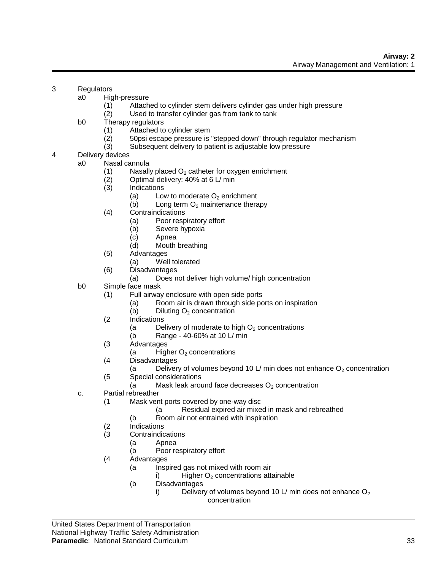### 3 Regulators

- a0 High-pressure
	- (1) Attached to cylinder stem delivers cylinder gas under high pressure
	- (2) Used to transfer cylinder gas from tank to tank
- b0 Therapy regulators
	- (1) Attached to cylinder stem
	- (2) 50psi escape pressure is "stepped down" through regulator mechanism
	- (3) Subsequent delivery to patient is adjustable low pressure
- 4 Delivery devices
	- a0 Nasal cannula
		- (1) Nasally placed  $O<sub>2</sub>$  catheter for oxygen enrichment
		- (2) Optimal delivery: 40% at 6 L/ min
		- (3) Indications
			- (a) Low to moderate  $O<sub>2</sub>$  enrichment
			- (b) Long term  $O<sub>2</sub>$  maintenance therapy
		- (4) Contraindications
			- (a) Poor respiratory effort
			- (b) Severe hypoxia
			- (c) Apnea
			- (d) Mouth breathing
		- (5) Advantages
			- (a) Well tolerated
		- (6) Disadvantages
			- (a) Does not deliver high volume/ high concentration
	- b0 Simple face mask
		- (1) Full airway enclosure with open side ports
			- (a) Room air is drawn through side ports on inspiration
			- (b) Diluting  $O<sub>2</sub>$  concentration
		- (2 Indications
			- (a Delivery of moderate to high  $O<sub>2</sub>$  concentrations
			- (b Range 40-60% at 10 L/ min
		- (3 Advantages
			- (a  $H$ igher  $O<sub>2</sub>$  concentrations
		- (4 Disadvantages
			- (a Delivery of volumes beyond 10 L/ min does not enhance  $O_2$  concentration
		- (5 Special considerations
			- (a Mask leak around face decreases  $O<sub>2</sub>$  concentration
	- c. Partial rebreather
		- (1 Mask vent ports covered by one-way disc
			- (a Residual expired air mixed in mask and rebreathed
			- (b Room air not entrained with inspiration
		- (2 Indications
		- (3 Contraindications
			- (a Apnea
			- (b Poor respiratory effort
		- (4 Advantages
			- (a Inspired gas not mixed with room air
				- i) Higher  $O<sub>2</sub>$  concentrations attainable
			- (b Disadvantages
				- i) Delivery of volumes beyond 10 L/ min does not enhance  $O_2$ concentration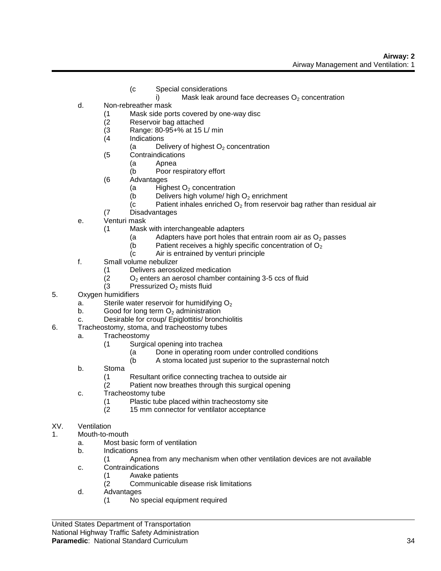- (c Special considerations
	- i) Mask leak around face decreases  $O<sub>2</sub>$  concentration
- d. Non-rebreather mask
	- (1 Mask side ports covered by one-way disc
	- (2 Reservoir bag attached
	- (3 Range: 80-95+% at 15 L/ min
	- (4 Indications
		- (a Delivery of highest  $O<sub>2</sub>$  concentration
	- (5 Contraindications
		- (a Apnea
		- (b Poor respiratory effort
	- (6 Advantages
		- (a Highest  $O<sub>2</sub>$  concentration
		- (b Delivers high volume/ high  $O<sub>2</sub>$  enrichment
		- (c Patient inhales enriched  $O_2$  from reservoir bag rather than residual air
	- (7 Disadvantages
- e. Venturi mask
	- (1 Mask with interchangeable adapters
		- (a Adapters have port holes that entrain room air as  $O_2$  passes<br>(b Patient receives a highly specific concentration of  $O_2$
		- (b Patient receives a highly specific concentration of  $O_2$ <br>(c Air is entrained by venturi principle
		- Air is entrained by venturi principle
- f. Small volume nebulizer
	- (1 Delivers aerosolized medication
	- (2  $O_2$  enters an aerosol chamber containing 3-5 ccs of fluid<br>(3 Pressurized O<sub>2</sub> mists fluid
	- Pressurized O<sub>2</sub> mists fluid
- 5. Oxygen humidifiers
	- a. Sterile water reservoir for humidifying  $O<sub>2</sub>$
	- b. Good for long term  $O<sub>2</sub>$  administration
	- c. Desirable for croup/ Epiglottitis/ bronchiolitis
- 6. Tracheostomy, stoma, and tracheostomy tubes
	- a. Tracheostomy
		- (1 Surgical opening into trachea
			- (a Done in operating room under controlled conditions
			- (b A stoma located just superior to the suprasternal notch
	- b. Stoma
		- (1 Resultant orifice connecting trachea to outside air
		- (2 Patient now breathes through this surgical opening
	- c. Tracheostomy tube
		- (1 Plastic tube placed within tracheostomy site
		- (2 15 mm connector for ventilator acceptance
- XV. Ventilation
- 1. Mouth-to-mouth
	- a. Most basic form of ventilation
	- b. Indications
		- (1 Apnea from any mechanism when other ventilation devices are not available
	- c. Contraindications
		- (1 Awake patients
		- (2 Communicable disease risk limitations
	- d. Advantages
		- (1 No special equipment required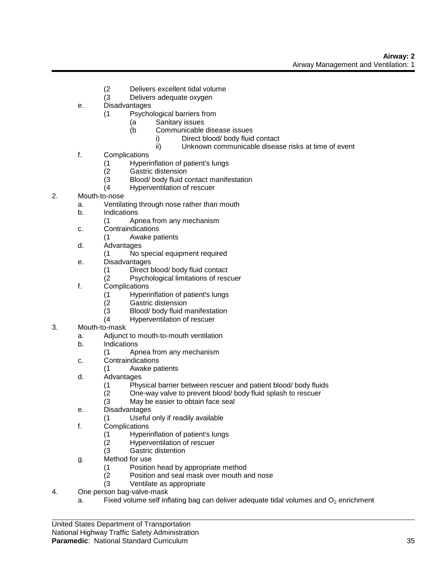- (2 Delivers excellent tidal volume
- (3 Delivers adequate oxygen
- e. Disadvantages
	- (1 Psychological barriers from
		- (a Sanitary issues<br>(b Communicable
			- Communicable disease issues
				- i) Direct blood/ body fluid contact
				- ii) Unknown communicable disease risks at time of event
- f. Complications
	- (1 Hyperinflation of patient's lungs
	- Gastric distension
	- (3 Blood/ body fluid contact manifestation
	- (4 Hyperventilation of rescuer
- 2. Mouth-to-nose
	- a. Ventilating through nose rather than mouth
	- b. Indications
		- (1 Apnea from any mechanism
	- c. Contraindications
		- (1 Awake patients
	- d. Advantages
		- (1 No special equipment required
	- e. Disadvantages
		- (1 Direct blood/ body fluid contact
		- (2 Psychological limitations of rescuer
	- f. Complications
		- (1 Hyperinflation of patient's lungs
		- (2 Gastric distension
		- (3 Blood/ body fluid manifestation<br>(4 Hyperventilation of rescuer
		- Hyperventilation of rescuer
- 3. Mouth-to-mask
	- a. Adjunct to mouth-to-mouth ventilation
	- b. Indications
		- (1 Apnea from any mechanism
	- c. Contraindications
		- (1 Awake patients
	- d. Advantages
		- (1 Physical barrier between rescuer and patient blood/ body fluids
		- One-way valve to prevent blood/ body fluid splash to rescuer
		- (3 May be easier to obtain face seal
	- e. Disadvantages
		- (1 Useful only if readily available
	- f. Complications
		- (1 Hyperinflation of patient's lungs
		- (2 Hyperventilation of rescuer
		- (3 Gastric distention
	- g. Method for use
		- (1 Position head by appropriate method
		- (2 Position and seal mask over mouth and nose
		- (3 Ventilate as appropriate
- 4. One person bag-valve-mask
	- a. Fixed volume self inflating bag can deliver adequate tidal volumes and  $O<sub>2</sub>$  enrichment

United States Department of Transportation

National Highway Traffic Safety Administration

#### **Paramedic**: National Standard Curriculum 35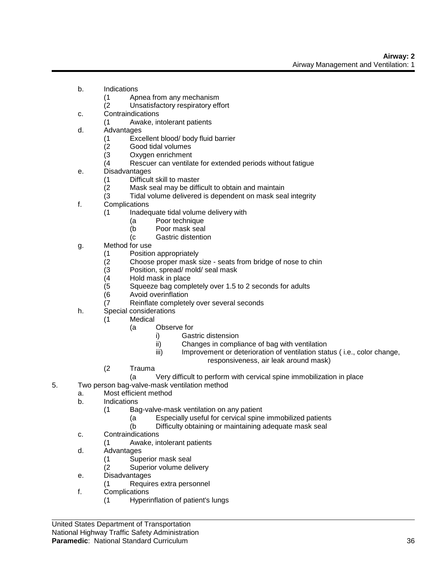- b. Indications
	- (1 Apnea from any mechanism
	- (2 Unsatisfactory respiratory effort
- c. Contraindications
	- (1 Awake, intolerant patients
- d. Advantages
	- (1 Excellent blood/ body fluid barrier
	- (2 Good tidal volumes
	- Oxygen enrichment
	- (4 Rescuer can ventilate for extended periods without fatigue
- e. Disadvantages
	- (1 Difficult skill to master
	- Mask seal may be difficult to obtain and maintain
	- (3 Tidal volume delivered is dependent on mask seal integrity
- f. Complications
	- (1 Inadequate tidal volume delivery with
		- (a Poor technique
		- (b Poor mask seal
		- (c Gastric distention
- g. Method for use
	-
	- (1 Position appropriately<br>(2 Choose proper mask s (2 Choose proper mask size - seats from bridge of nose to chin
	- Position, spread/ mold/ seal mask
	- (4 Hold mask in place<br>(5 Squeeze bag comp
		- Squeeze bag completely over 1.5 to 2 seconds for adults
	- (6 Avoid overinflation
	- (7 Reinflate completely over several seconds
- h. Special considerations
	- (1 Medical
		- (a Observe for
			- i) Gastric distension
			- ii) Changes in compliance of bag with ventilation
			- iii) Improvement or deterioration of ventilation status (i.e., color change,
				- responsiveness, air leak around mask)
	- (2 Trauma
		- (a Very difficult to perform with cervical spine immobilization in place
- 5. Two person bag-valve-mask ventilation method
	- a. Most efficient method
		- b. Indications
			- (1 Bag-valve-mask ventilation on any patient
				- (a Especially useful for cervical spine immobilized patients
				- (b Difficulty obtaining or maintaining adequate mask seal
		- c. Contraindications
			- (1 Awake, intolerant patients
		- d. Advantages
			- (1 Superior mask seal
			- (2 Superior volume delivery
		- e. Disadvantages
			- (1 Requires extra personnel
		- f. Complications
			- (1 Hyperinflation of patient's lungs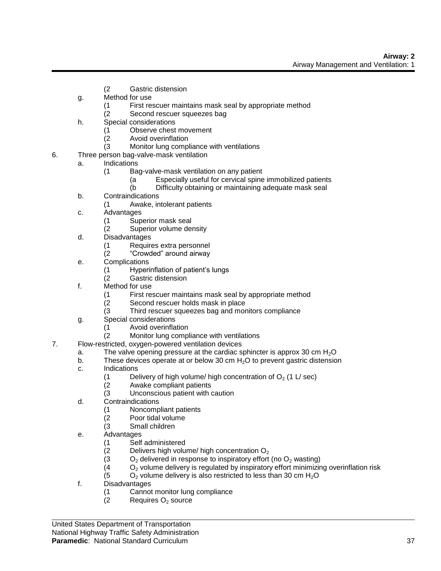- (2 Gastric distension
- g. Method for use
	- (1 First rescuer maintains mask seal by appropriate method
	- (2 Second rescuer squeezes bag
- h. Special considerations
	- (1 Observe chest movement
	- (2 Avoid overinflation
		- (3 Monitor lung compliance with ventilations
- 6. Three person bag-valve-mask ventilation
	- a. Indications
		- (1 Bag-valve-mask ventilation on any patient
			- (a Especially useful for cervical spine immobilized patients
			- (b Difficulty obtaining or maintaining adequate mask seal
		- b. Contraindications
			- (1 Awake, intolerant patients
		- c. Advantages
			- (1 Superior mask seal
			- (2 Superior volume density
		- d. Disadvantages
			- (1 Requires extra personnel
			- (2 "Crowded" around airway
		- e. Complications
			- (1 Hyperinflation of patient's lungs
			- (2 Gastric distension
		- f. Method for use
			- (1 First rescuer maintains mask seal by appropriate method
			- (2 Second rescuer holds mask in place
			- (3 Third rescuer squeezes bag and monitors compliance
		- g. Special considerations
			- (1 Avoid overinflation
			- (2 Monitor lung compliance with ventilations
- 7. Flow-restricted, oxygen-powered ventilation devices
	- a. The valve opening pressure at the cardiac sphincter is approx 30 cm  $H_2O$ <br>b. These devices operate at or below 30 cm  $H_2O$  to prevent gastric distensio
	- These devices operate at or below 30 cm  $H<sub>2</sub>O$  to prevent gastric distension
	- c. Indications
		- (1 Delivery of high volume/ high concentration of  $O_2$  (1 L/ sec)<br>(2 Awake compliant patients
			- Awake compliant patients
			- (3 Unconscious patient with caution
	- d. Contraindications
		- (1 Noncompliant patients
		- (2 Poor tidal volume
		- (3 Small children
	- e. Advantages
		- (1 Self administered
		- (2 Delivers high volume/ high concentration  $O_2$ <br>(3  $O_2$  delivered in response to inspiratory effort
		- (3  $O_2$  delivered in response to inspiratory effort (no  $O_2$  wasting)<br>(4  $O_2$  volume delivery is regulated by inspiratory effort minimizin
		- (4 O<sub>2</sub> volume delivery is regulated by inspiratory effort minimizing overinflation risk<br>(5 O<sub>2</sub> volume delivery is also restricted to less than 30 cm H<sub>2</sub>O
		- $O<sub>2</sub>$  volume delivery is also restricted to less than 30 cm  $H<sub>2</sub>O$
	- f. Disadvantages
		- (1 Cannot monitor lung compliance
		- $(2 \qquad$  Requires  $O<sub>2</sub>$  source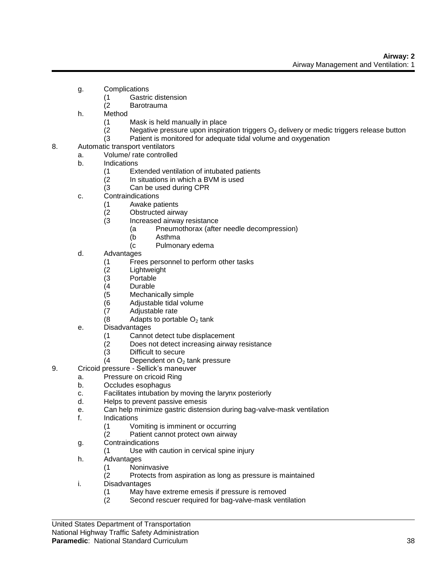- g. Complications
	- (1 Gastric distension
	- (2 Barotrauma
- h. Method
	- (1 Mask is held manually in place
	- (2 Negative pressure upon inspiration triggers  $O_2$  delivery or medic triggers release button (3 Patient is monitored for adequate tidal volume and oxygenation
	- Patient is monitored for adequate tidal volume and oxygenation
- 8. Automatic transport ventilators
	- a. Volume/ rate controlled
	- b. Indications
		- (1 Extended ventilation of intubated patients
		- (2 In situations in which a BVM is used
		- (3 Can be used during CPR
	- c. Contraindications
		- (1 Awake patients
		- (2 Obstructed airway
		- (3 Increased airway resistance
			- (a Pneumothorax (after needle decompression)
			- (b Asthma
				- (c Pulmonary edema
	- d. Advantages
		- (1 Frees personnel to perform other tasks
		- (2 Lightweight
		- (3 Portable
		- (4 Durable
		- (5 Mechanically simple
		- (6 Adjustable tidal volume
		- (7 Adjustable rate
		- $(8$  Adapts to portable  $O<sub>2</sub>$  tank
	- e. Disadvantages
		- (1 Cannot detect tube displacement
		- (2 Does not detect increasing airway resistance
		- (3 Difficult to secure
		- $(4$  Dependent on  $O<sub>2</sub>$  tank pressure
- 9. Cricoid pressure Sellick's maneuver
	- a. Pressure on cricoid Ring
		- b. Occludes esophagus
		- c. Facilitates intubation by moving the larynx posteriorly
		- d. Helps to prevent passive emesis
		- e. Can help minimize gastric distension during bag-valve-mask ventilation
	- f. Indications
		- (1 Vomiting is imminent or occurring
		- (2 Patient cannot protect own airway
	- g. Contraindications
		- (1 Use with caution in cervical spine injury
	- h. Advantages
		- (1 Noninvasive
		- (2 Protects from aspiration as long as pressure is maintained
	- i. Disadvantages
		- (1 May have extreme emesis if pressure is removed
		- (2 Second rescuer required for bag-valve-mask ventilation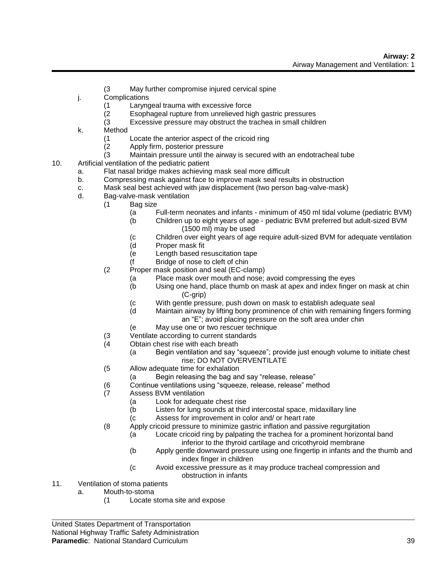- (3 May further compromise injured cervical spine
- j. Complications
	- (1 Laryngeal trauma with excessive force
	- (2 Esophageal rupture from unrelieved high gastric pressures
	- (3 Excessive pressure may obstruct the trachea in small children
- k. Method
	- (1 Locate the anterior aspect of the cricoid ring
	- (2 Apply firm, posterior pressure
	- Maintain pressure until the airway is secured with an endotracheal tube
- 10. Artificial ventilation of the pediatric patient
	- a. Flat nasal bridge makes achieving mask seal more difficult
	- b. Compressing mask against face to improve mask seal results in obstruction
	- c. Mask seal best achieved with jaw displacement (two person bag-valve-mask)
	- d. Bag-valve-mask ventilation
		- (1 Bag size
			- (a Full-term neonates and infants minimum of 450 ml tidal volume (pediatric BVM)
			- (b Children up to eight years of age pediatric BVM preferred but adult-sized BVM (1500 ml) may be used
			- (c Children over eight years of age require adult-sized BVM for adequate ventilation
			- (d Proper mask fit
			- (e Length based resuscitation tape
			- (f Bridge of nose to cleft of chin
		- (2 Proper mask position and seal (EC-clamp)
			- (a Place mask over mouth and nose; avoid compressing the eyes
			- (b Using one hand, place thumb on mask at apex and index finger on mask at chin (C-grip)
			- (c With gentle pressure, push down on mask to establish adequate seal
			- (d Maintain airway by lifting bony prominence of chin with remaining fingers forming an "E"; avoid placing pressure on the soft area under chin
			- (e May use one or two rescuer technique
		- (3 Ventilate according to current standards
		- (4 Obtain chest rise with each breath
			- (a Begin ventilation and say "squeeze"; provide just enough volume to initiate chest rise; DO NOT OVERVENTILATE
		- (5 Allow adequate time for exhalation
			- (a Begin releasing the bag and say "release, release"
		- (6 Continue ventilations using "squeeze, release, release" method
		- (7 Assess BVM ventilation
			- (a Look for adequate chest rise
			- (b Listen for lung sounds at third intercostal space, midaxillary line
			- (c Assess for improvement in color and/ or heart rate
		- (8 Apply cricoid pressure to minimize gastric inflation and passive regurgitation
			- (a Locate cricoid ring by palpating the trachea for a prominent horizontal band inferior to the thyroid cartilage and cricothyroid membrane
				- (b Apply gentle downward pressure using one fingertip in infants and the thumb and index finger in children
				- (c Avoid excessive pressure as it may produce tracheal compression and obstruction in infants
- 11. Ventilation of stoma patients
	- a. Mouth-to-stoma
		- (1 Locate stoma site and expose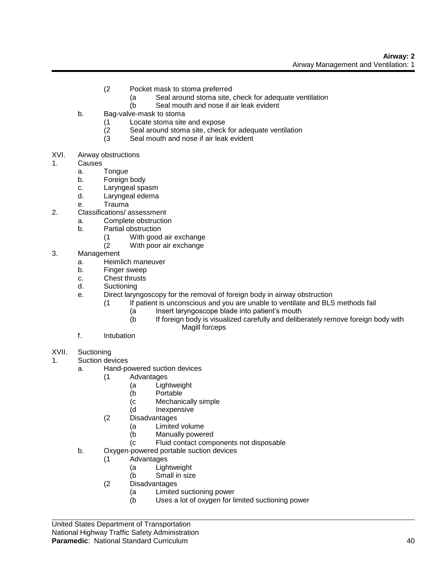- (2 Pocket mask to stoma preferred
	- (a Seal around stoma site, check for adequate ventilation
	- (b Seal mouth and nose if air leak evident
- b. Bag-valve-mask to stoma
	- (1 Locate stoma site and expose
	- (2 Seal around stoma site, check for adequate ventilation
	- (3 Seal mouth and nose if air leak evident
- XVI. Airway obstructions
- 1. Causes
	- a. Tongue
	- b. Foreign body
	- c. Laryngeal spasm
	- d. Laryngeal edema
	- e. Trauma
- 2. Classifications/ assessment
	- a. Complete obstruction
		- b. Partial obstruction
			- (1 With good air exchange
			- (2 With poor air exchange
- 3. Management
	- a. Heimlich maneuver
	- b. Finger sweep
	- c. Chest thrusts
	- d. Suctioning
	- e. Direct laryngoscopy for the removal of foreign body in airway obstruction
		- (1 If patient is unconscious and you are unable to ventilate and BLS methods fail
			- (a Insert laryngoscope blade into patient's mouth
			- (b If foreign body is visualized carefully and deliberately remove foreign body with Magill forceps
	- f. Intubation
- XVII. Suctioning

1. Suction devices

- a. Hand-powered suction devices
	- (1 Advantages
		- (a Lightweight
		- (b Portable
		- (c Mechanically simple
		- (d Inexpensive
	- (2 Disadvantages
		- (a Limited volume
		- (b Manually powered
		- (c Fluid contact components not disposable
- b. Oxygen-powered portable suction devices
	- (1 Advantages
		- (a Lightweight
		- (b Small in size
		- (2 Disadvantages
			- (a Limited suctioning power
			- (b Uses a lot of oxygen for limited suctioning power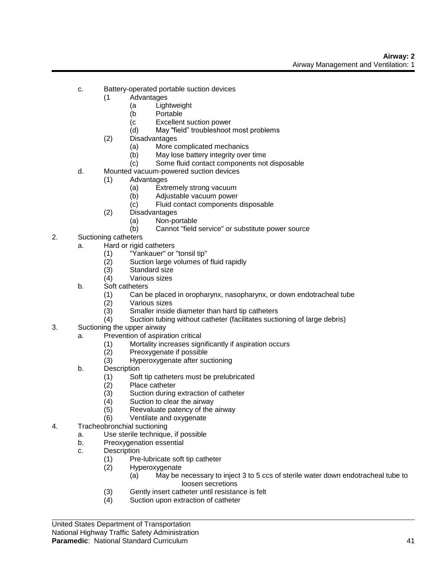- c. Battery-operated portable suction devices
	- (1 Advantages
		- (a Lightweight
		- (b Portable
		- (c Excellent suction power
		- (d) May "field" troubleshoot most problems
	- (2) Disadvantages
		- (a) More complicated mechanics
		- (b) May lose battery integrity over time
		- (c) Some fluid contact components not disposable
- d. Mounted vacuum-powered suction devices
	- (1) Advantages
		- (a) Extremely strong vacuum
			- (b) Adjustable vacuum power
			- (c) Fluid contact components disposable
	- (2) Disadvantages
		- (a) Non-portable
		- (b) Cannot "field service" or substitute power source
- 2. Suctioning catheters
	- a. Hard or rigid catheters
		- (1) "Yankauer" or "tonsil tip"<br>(2) Suction large volumes of
		- (2) Suction large volumes of fluid rapidly
		- Standard size
		- (4) Various sizes
	- b. Soft catheters
		- (1) Can be placed in oropharynx, nasopharynx, or down endotracheal tube
		- (2) Various sizes
		- (3) Smaller inside diameter than hard tip catheters
		- (4) Suction tubing without catheter (facilitates suctioning of large debris)
- 3. Suctioning the upper airway
	- a. Prevention of aspiration critical
		- (1) Mortality increases significantly if aspiration occurs
		- (2) Preoxygenate if possible
		- (3) Hyperoxygenate after suctioning
	- b. Description
		- (1) Soft tip catheters must be prelubricated
		- (2) Place catheter
		- (3) Suction during extraction of catheter
		- (4) Suction to clear the airway
		- (5) Reevaluate patency of the airway
		- (6) Ventilate and oxygenate
- 4. Tracheobronchial suctioning
	- a. Use sterile technique, if possible
	- b. Preoxygenation essential
	- c. Description
		- (1) Pre-lubricate soft tip catheter
		- (2) Hyperoxygenate
			- (a) May be necessary to inject 3 to 5 ccs of sterile water down endotracheal tube to loosen secretions
		- (3) Gently insert catheter until resistance is felt
		- (4) Suction upon extraction of catheter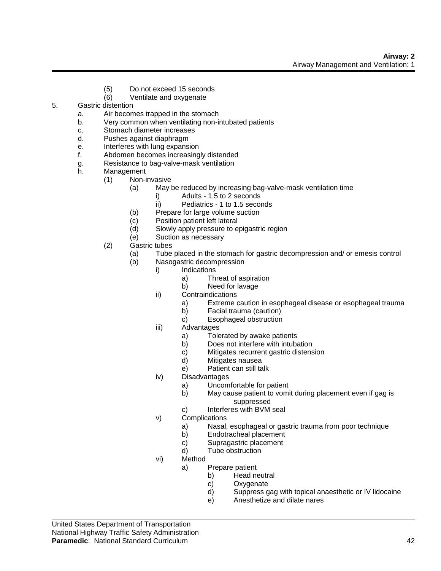- (5) Do not exceed 15 seconds
- (6) Ventilate and oxygenate
- 5. Gastric distention
	- a. Air becomes trapped in the stomach
	- b. Very common when ventilating non-intubated patients
	- c. Stomach diameter increases
	- d. Pushes against diaphragm
	- e. Interferes with lung expansion
	- f. Abdomen becomes increasingly distended
	- g. Resistance to bag-valve-mask ventilation
	- h. Management
		- (1) Non-invasive
			- (a) May be reduced by increasing bag-valve-mask ventilation time
				- i) Adults 1.5 to 2 seconds
				- ii) Pediatrics 1 to 1.5 seconds
			- (b) Prepare for large volume suction
			- (c) Position patient left lateral
			- (d) Slowly apply pressure to epigastric region
			- (e) Suction as necessary
		- (2) Gastric tubes
			- (a) Tube placed in the stomach for gastric decompression and/ or emesis control
			- (b) Nasogastric decompression
				- i) Indications
					- a) Threat of aspiration
					- b) Need for lavage
					- ii) Contraindications
						- a) Extreme caution in esophageal disease or esophageal trauma
						- b) Facial trauma (caution)
						- c) Esophageal obstruction
					- iii) Advantages
						- a) Tolerated by awake patients
						- b) Does not interfere with intubation
						- c) Mitigates recurrent gastric distension
						- d) Mitigates nausea
						- e) Patient can still talk
					- iv) Disadvantages
						- a) Uncomfortable for patient
						- b) May cause patient to vomit during placement even if gag is suppressed
						- c) Interferes with BVM seal
					- v) Complications
						- a) Nasal, esophageal or gastric trauma from poor technique
						- b) Endotracheal placement
						- c) Supragastric placement
						- d) Tube obstruction
					- vi) Method
						- a) Prepare patient
							- b) Head neutral
							- c) Oxygenate
							- d) Suppress gag with topical anaesthetic or IV lidocaine
							- e) Anesthetize and dilate nares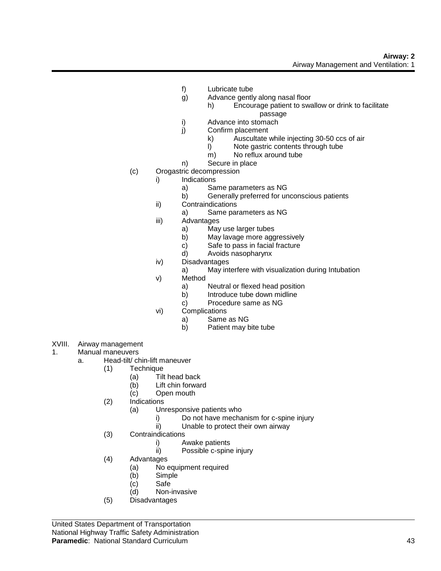- f) Lubricate tube
- g) Advance gently along nasal floor
	- h) Encourage patient to swallow or drink to facilitate passage
- i) Advance into stomach
- j) Confirm placement
	- k) Auscultate while injecting 30-50 ccs of air
	- l) Note gastric contents through tube
	- m) No reflux around tube
- n) Secure in place
- (c) Orogastric decompression
	- i) Indications
		- a) Same parameters as NG
		- b) Generally preferred for unconscious patients
	- ii) Contraindications
		- a) Same parameters as NG
	- iii) Advantages
		- a) May use larger tubes
		- b) May lavage more aggressively
		- c) Safe to pass in facial fracture
		- d) Avoids nasopharynx
	- iv) Disadvantages
		- a) May interfere with visualization during Intubation
	- v) Method
		- a) Neutral or flexed head position
		- b) Introduce tube down midline
		- c) Procedure same as NG
	- vi) Complications
		- a) Same as NG
			- b) Patient may bite tube
- XVIII. Airway management
- 1. Manual maneuvers
	- a. Head-tilt/ chin-lift maneuver
		- (1) Technique
			- (a) Tilt head back
			- (b) Lift chin forward
			- (c) Open mouth
		- (2) Indications
			- (a) Unresponsive patients who
				- i) Do not have mechanism for c-spine injury
				- ii) Unable to protect their own airway
		- (3) Contraindications
			- i) Awake patients
			- ii) Possible c-spine injury
		- (4) Advantages
			- (a) No equipment required
			- (b) Simple
			- (c) Safe
			- (d) Non-invasive
		- (5) Disadvantages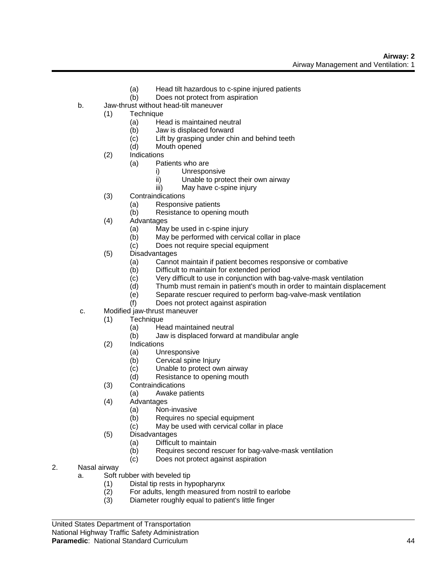- (a) Head tilt hazardous to c-spine injured patients
- (b) Does not protect from aspiration
- b. Jaw-thrust without head-tilt maneuver
	- (1) Technique
		- (a) Head is maintained neutral
		- (b) Jaw is displaced forward
		- (c) Lift by grasping under chin and behind teeth
		- (d) Mouth opened
		- (2) Indications
			- (a) Patients who are
				- i) Unresponsive
				- ii) Unable to protect their own airway
				- iii) May have c-spine injury
		- (3) Contraindications
			- (a) Responsive patients
			- (b) Resistance to opening mouth
		- (4) Advantages
			- (a) May be used in c-spine injury
			- (b) May be performed with cervical collar in place
			- (c) Does not require special equipment
		- (5) Disadvantages
			- (a) Cannot maintain if patient becomes responsive or combative
			- (b) Difficult to maintain for extended period
			- (c) Very difficult to use in conjunction with bag-valve-mask ventilation
			- (d) Thumb must remain in patient's mouth in order to maintain displacement
			- (e) Separate rescuer required to perform bag-valve-mask ventilation
			- (f) Does not protect against aspiration
- c. Modified jaw-thrust maneuver
	- (1) Technique
		- (a) Head maintained neutral
		- (b) Jaw is displaced forward at mandibular angle
	- (2) Indications
		- (a) Unresponsive
		- (b) Cervical spine Injury
		- (c) Unable to protect own airway
		- (d) Resistance to opening mouth
	- (3) Contraindications
		- (a) Awake patients
	- (4) Advantages
		- (a) Non-invasive
		- (b) Requires no special equipment
		- (c) May be used with cervical collar in place
	- (5) Disadvantages
		- (a) Difficult to maintain
		- (b) Requires second rescuer for bag-valve-mask ventilation
		- (c) Does not protect against aspiration
- 2. Nasal airway
	- a. Soft rubber with beveled tip
		- (1) Distal tip rests in hypopharynx
		- (2) For adults, length measured from nostril to earlobe
		- (3) Diameter roughly equal to patient's little finger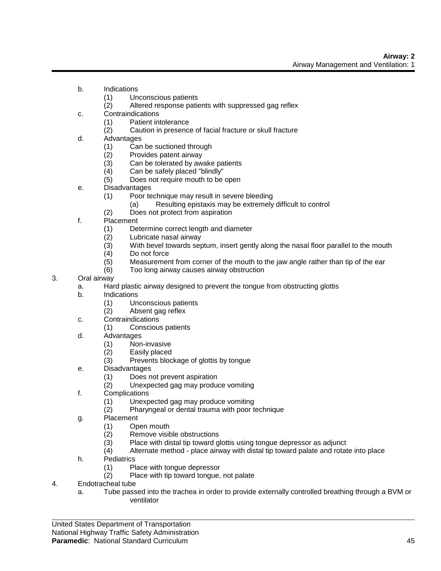- b. Indications
	- (1) Unconscious patients
	- (2) Altered response patients with suppressed gag reflex
- c. Contraindications
	- (1) Patient intolerance
	- (2) Caution in presence of facial fracture or skull fracture
- d. Advantages
	- (1) Can be suctioned through
	- (2) Provides patent airway<br>(3) Can be tolerated by away
	- Can be tolerated by awake patients
	- (4) Can be safely placed "blindly"
	- (5) Does not require mouth to be open
- e. Disadvantages
	- (1) Poor technique may result in severe bleeding
		- (a) Resulting epistaxis may be extremely difficult to control
	- (2) Does not protect from aspiration
- f. Placement
	- (1) Determine correct length and diameter
	- (2) Lubricate nasal airway
	- (3) With bevel towards septum, insert gently along the nasal floor parallel to the mouth
	- (4) Do not force
	- (5) Measurement from corner of the mouth to the jaw angle rather than tip of the ear
	- (6) Too long airway causes airway obstruction
- 3. Oral airway
	- a. Hard plastic airway designed to prevent the tongue from obstructing glottis
	- b. Indications
		- (1) Unconscious patients
		- (2) Absent gag reflex
	- c. Contraindications
		- (1) Conscious patients
	- d. Advantages
		- (1) Non-invasive
		- (2) Easily placed
		- (3) Prevents blockage of glottis by tongue
	- e. Disadvantages
		- (1) Does not prevent aspiration
		- (2) Unexpected gag may produce vomiting
	- f. Complications
		- (1) Unexpected gag may produce vomiting
		- (2) Pharyngeal or dental trauma with poor technique
	- g. Placement
		- (1) Open mouth
		- (2) Remove visible obstructions
		- (3) Place with distal tip toward glottis using tongue depressor as adjunct
		- (4) Alternate method place airway with distal tip toward palate and rotate into place
	- h. Pediatrics
		- (1) Place with tongue depressor<br>(2) Place with tip toward tongue,
		- Place with tip toward tongue, not palate
- 4. Endotracheal tube
	- a. Tube passed into the trachea in order to provide externally controlled breathing through a BVM or ventilator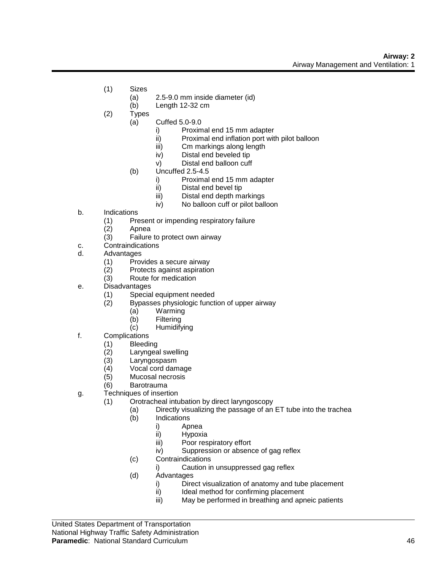- (1) Sizes
	- (a) 2.5-9.0 mm inside diameter (id)
	- (b) Length 12-32 cm
- (2) Types
	- (a) Cuffed 5.0-9.0
		- i) Proximal end 15 mm adapter
		- ii) Proximal end inflation port with pilot balloon
		- iii) Cm markings along length
		- iv) Distal end beveled tip
		- v) Distal end balloon cuff
		- $(b)$  Uncuffed 2.5-4.5
			- i) Proximal end 15 mm adapter
			- ii) Distal end bevel tip
			- iii) Distal end depth markings
			- iv) No balloon cuff or pilot balloon
- b. Indications
	- (1) Present or impending respiratory failure
	- (2) Apnea
	- (3) Failure to protect own airway
- c. Contraindications
- d. Advantages
	- (1) Provides a secure airway
	- (2) Protects against aspiration
	- (3) Route for medication
- e. Disadvantages
	- (1) Special equipment needed
		- (2) Bypasses physiologic function of upper airway
			- (a) Warming
			- (b) Filtering
			- (c) Humidifying
- f. Complications
	- (1) Bleeding
		- (2) Laryngeal swelling
		- (3) Laryngospasm
		- Vocal cord damage
		- (5) Mucosal necrosis
		- (6) Barotrauma
- g. Techniques of insertion
	- (1) Orotracheal intubation by direct laryngoscopy
		- (a) Directly visualizing the passage of an ET tube into the trachea
		- (b) Indications
			- i) Apnea
			- ii) Hypoxia
			- iii) Poor respiratory effort
			- iv) Suppression or absence of gag reflex
		- (c) Contraindications
			- i) Caution in unsuppressed gag reflex
		- (d) Advantages
			- i) Direct visualization of anatomy and tube placement
			- ii) Ideal method for confirming placement
			- iii) May be performed in breathing and apneic patients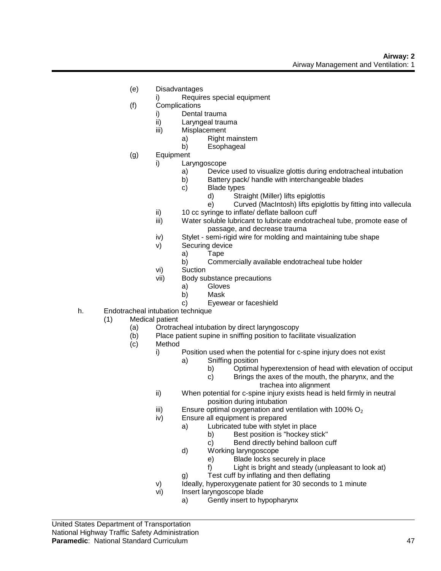- (e) Disadvantages
	- i) Requires special equipment
- (f) Complications
	- i) Dental trauma
	- ii) Laryngeal trauma
	- iii) Misplacement
		- a) Right mainstem
		- b) Esophageal
- (g) Equipment
	- i) Laryngoscope
		- a) Device used to visualize glottis during endotracheal intubation
		- b) Battery pack/ handle with interchangeable blades
		- c) Blade types
			- d) Straight (Miller) lifts epiglottis
			- e) Curved (MacIntosh) lifts epiglottis by fitting into vallecula
	- ii) 10 cc syringe to inflate/ deflate balloon cuff
	- iii) Water soluble lubricant to lubricate endotracheal tube, promote ease of passage, and decrease trauma
	- iv) Stylet semi-rigid wire for molding and maintaining tube shape
	- v) Securing device
		- a) Tape<br>b) Comn
			- Commercially available endotracheal tube holder
	- vi) Suction
	- vii) Body substance precautions
		- a) Gloves
		- b) Mask
		- c) Eyewear or faceshield
- h. Endotracheal intubation technique
	- (1) Medical patient
		- (a) Orotracheal intubation by direct laryngoscopy
		- (b) Place patient supine in sniffing position to facilitate visualization
		- (c) Method
			- i) Position used when the potential for c-spine injury does not exist
				- a) Sniffing position
					- b) Optimal hyperextension of head with elevation of occiput
					- c) Brings the axes of the mouth, the pharynx, and the
						- trachea into alignment
				- ii) When potential for c-spine injury exists head is held firmly in neutral position during intubation
				- iii) Ensure optimal oxygenation and ventilation with 100%  $O<sub>2</sub>$
				- iv) Ensure all equipment is prepared
					- a) Lubricated tube with stylet in place
						- b) Best position is "hockey stick"
							- c) Bend directly behind balloon cuff
					- d) Working laryngoscope
						- e) Blade locks securely in place
						- f) Light is bright and steady (unpleasant to look at)
					- g) Test cuff by inflating and then deflating
				- v) Ideally, hyperoxygenate patient for 30 seconds to 1 minute
				- vi) Insert laryngoscope blade
					- a) Gently insert to hypopharynx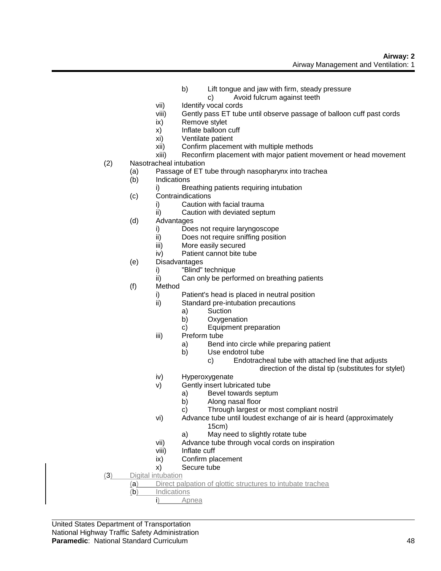- b) Lift tongue and jaw with firm, steady pressure c) Avoid fulcrum against teeth
- vii) Identify vocal cords
- viii) Gently pass ET tube until observe passage of balloon cuff past cords
- ix) Remove stylet
- x) Inflate balloon cuff
- xi) Ventilate patient
- xii) Confirm placement with multiple methods
- xiii) Reconfirm placement with major patient movement or head movement
- (2) Nasotracheal intubation
	- (a) Passage of ET tube through nasopharynx into trachea
	- (b) Indications
		- i) Breathing patients requiring intubation
	- (c) Contraindications
		- i) Caution with facial trauma
		- ii) Caution with deviated septum
	- (d) Advantages
		- i) Does not require laryngoscope
		- ii) Does not require sniffing position
		- iii) More easily secured
		- iv) Patient cannot bite tube
	- (e) Disadvantages
		- i) "Blind" technique
		- ii) Can only be performed on breathing patients
	- (f) Method
		- i) Patient's head is placed in neutral position
		- ii) Standard pre-intubation precautions
			- a) Suction
			- b) Oxygenation
			- c) Equipment preparation
		- iii) Preform tube
			- a) Bend into circle while preparing patient
			- b) Use endotrol tube
				- c) Endotracheal tube with attached line that adjusts
					- direction of the distal tip (substitutes for stylet)
		- iv) Hyperoxygenate
		- v) Gently insert lubricated tube
			- a) Bevel towards septum
			- b) Along nasal floor
			- c) Through largest or most compliant nostril
		- vi) Advance tube until loudest exchange of air is heard (approximately 15cm)
			- a) May need to slightly rotate tube
		- vii) Advance tube through vocal cords on inspiration
		- viii) Inflate cuff
		- ix) Confirm placement
		- x) Secure tube
- (3) Digital intubation

(a) Direct palpation of glottic structures to intubate trachea

- (b) Indications
	- i) Apnea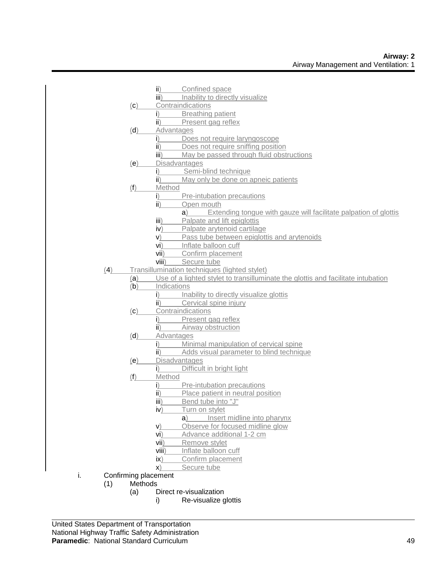|    |     |         | ii)                         | Confined space                                                                   |
|----|-----|---------|-----------------------------|----------------------------------------------------------------------------------|
|    |     |         | iii)                        | Inability to directly visualize                                                  |
|    |     | (c)     |                             | Contraindications                                                                |
|    |     |         | i)                          | <b>Breathing patient</b>                                                         |
|    |     |         | ii)                         | Present gag reflex                                                               |
|    |     | (d)     |                             | Advantages                                                                       |
|    |     |         | i)                          | Does not require laryngoscope                                                    |
|    |     |         | $\mathbf{ii}$               | Does not require sniffing position                                               |
|    |     |         | $\overline{\mathsf{iii}}$ ) | May be passed through fluid obstructions                                         |
|    |     | (e)     |                             | Disadvantages                                                                    |
|    |     |         | $\mathsf{i}$                | Semi-blind technique                                                             |
|    |     |         | ii)                         | May only be done on apneic patients                                              |
|    |     | (f)     | Method                      |                                                                                  |
|    |     |         | $\mathbf{i}$                | Pre-intubation precautions                                                       |
|    |     |         | ii)                         | Open mouth                                                                       |
|    |     |         |                             | Extending tongue with gauze will facilitate palpation of glottis<br>a)           |
|    |     |         | $\overline{\mathsf{iii}}$ ) | Palpate and lift epiglottis                                                      |
|    |     |         | iv)                         | Palpate arytenoid cartilage                                                      |
|    |     |         | V)                          | Pass tube between epiglottis and arytenoids                                      |
|    |     |         | vi)                         | Inflate balloon cuff                                                             |
|    |     |         | vii)                        | Confirm placement                                                                |
|    |     |         | viii)                       | Secure tube                                                                      |
|    | (4) |         |                             | Transillumination techniques (lighted stylet)                                    |
|    |     | (a)     |                             | Use of a lighted stylet to transilluminate the glottis and facilitate intubation |
|    |     | (b)     | Indications                 |                                                                                  |
|    |     |         | i)                          | Inability to directly visualize glottis                                          |
|    |     |         | ii)                         | Cervical spine injury                                                            |
|    |     | (c)     |                             | Contraindications                                                                |
|    |     |         | $\mathbf{i}$                | Present gag reflex                                                               |
|    |     |         | $\mathbf{ii}$               | Airway obstruction                                                               |
|    |     | (d)     |                             | Advantages                                                                       |
|    |     |         | i)                          | Minimal manipulation of cervical spine                                           |
|    |     |         | ii)                         | Adds visual parameter to blind technique                                         |
|    |     | (e)     |                             | <b>Disadvantages</b>                                                             |
|    |     |         | i)                          | Difficult in bright light                                                        |
|    |     | (1)     | Method                      |                                                                                  |
|    |     |         | i)                          | Pre-intubation precautions                                                       |
|    |     |         | $\mathbf{ii}$               | Place patient in neutral position                                                |
|    |     |         | iii)                        | Bend tube into "J"                                                               |
|    |     |         | iv)                         | Turn on stylet                                                                   |
|    |     |         |                             | Insert midline into pharynx<br>a)                                                |
|    |     |         | $\mathsf{v})$               | Observe for focused midline glow                                                 |
|    |     |         | vi)                         | Advance additional 1-2 cm                                                        |
|    |     |         | vii)                        | Remove stylet                                                                    |
|    |     |         | viii)                       | Inflate balloon cuff                                                             |
|    |     |         | $\mathsf{ix}$               | Confirm placement                                                                |
|    |     |         |                             |                                                                                  |
| i. |     |         | X)                          | Secure tube                                                                      |
|    |     | Methods | Confirming placement        |                                                                                  |
|    | (1) |         |                             | Direct re-visualization                                                          |
|    |     | (a)     | i)                          |                                                                                  |
|    |     |         |                             | Re-visualize glottis                                                             |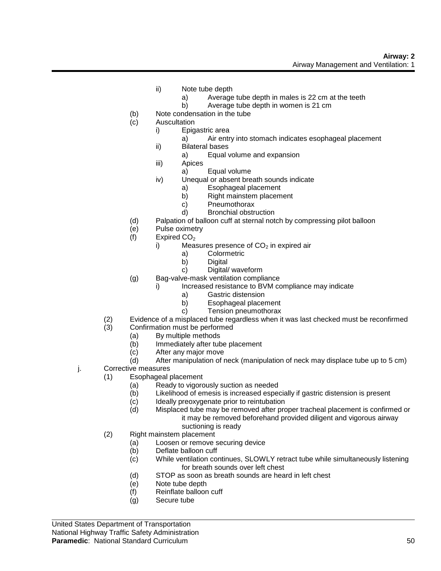- ii) Note tube depth
	- a) Average tube depth in males is 22 cm at the teeth
	- b) Average tube depth in women is 21 cm
- (b) Note condensation in the tube
- (c) Auscultation
	- i) Epigastric area
		- a) Air entry into stomach indicates esophageal placement
	- ii) Bilateral bases
		- a) Equal volume and expansion
	- iii) Apices
		- a) Equal volume
	- iv) Unequal or absent breath sounds indicate
		- a) Esophageal placement
			- b) Right mainstem placement
			- c) Pneumothorax
		- d) Bronchial obstruction
- (d) Palpation of balloon cuff at sternal notch by compressing pilot balloon
- (e) Pulse oximetry
- (f) Expired  $CO<sub>2</sub>$ 
	- i) Measures presence of  $CO<sub>2</sub>$  in expired air
		- a) Colormetric
		- b) Digital
		- c) Digital/ waveform
- (g) Bag-valve-mask ventilation compliance
	- i) Increased resistance to BVM compliance may indicate
		- a) Gastric distension
		- b) Esophageal placement
		- c) Tension pneumothorax
- (2) Evidence of a misplaced tube regardless when it was last checked must be reconfirmed
- (3) Confirmation must be performed
	- (a) By multiple methods
	- (b) Immediately after tube placement
	- (c) After any major move
	- (d) After manipulation of neck (manipulation of neck may displace tube up to 5 cm)
- j. Corrective measures
	- (1) Esophageal placement
		- (a) Ready to vigorously suction as needed
		- (b) Likelihood of emesis is increased especially if gastric distension is present
		- (c) Ideally preoxygenate prior to reintubation
		- (d) Misplaced tube may be removed after proper tracheal placement is confirmed or it may be removed beforehand provided diligent and vigorous airway suctioning is ready
	- (2) Right mainstem placement
		- (a) Loosen or remove securing device
		- (b) Deflate balloon cuff
		- (c) While ventilation continues, SLOWLY retract tube while simultaneously listening for breath sounds over left chest
		- (d) STOP as soon as breath sounds are heard in left chest
		- (e) Note tube depth
		- (f) Reinflate balloon cuff
		- (g) Secure tube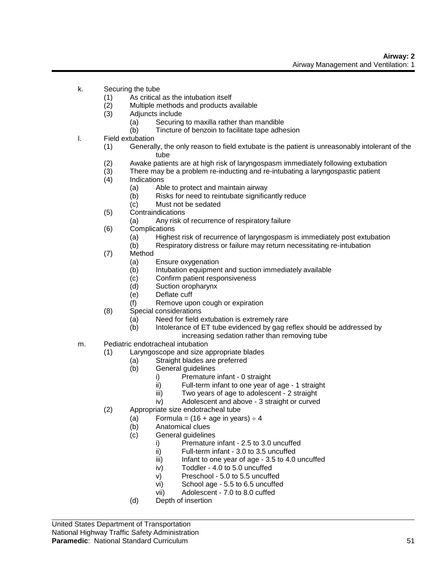- k. Securing the tube
	- (1) As critical as the intubation itself
	- (2) Multiple methods and products available
	- (3) Adjuncts include
		- (a) Securing to maxilla rather than mandible
		- (b) Tincture of benzoin to facilitate tape adhesion
- l. Field extubation
	- (1) Generally, the only reason to field extubate is the patient is unreasonably intolerant of the tube
	- (2) Awake patients are at high risk of laryngospasm immediately following extubation
	- (3) There may be a problem re-inducting and re-intubating a laryngospastic patient
	- (4) Indications
		- (a) Able to protect and maintain airway
			- (b) Risks for need to reintubate significantly reduce
		- (c) Must not be sedated
	- (5) Contraindications
		- (a) Any risk of recurrence of respiratory failure
	- (6) Complications
		- (a) Highest risk of recurrence of laryngospasm is immediately post extubation
		- (b) Respiratory distress or failure may return necessitating re-intubation
	- (7) Method
		- (a) Ensure oxygenation
		- (b) Intubation equipment and suction immediately available
		- (c) Confirm patient responsiveness
		- (d) Suction oropharynx
		- (e) Deflate cuff
		- (f) Remove upon cough or expiration
	- (8) Special considerations
		- (a) Need for field extubation is extremely rare
		- (b) Intolerance of ET tube evidenced by gag reflex should be addressed by increasing sedation rather than removing tube
- m. Pediatric endotracheal intubation
	- (1) Laryngoscope and size appropriate blades
		- (a) Straight blades are preferred<br>(b) General quidelines
			- General guidelines
				- i) Premature infant 0 straight
				- ii) Full-term infant to one year of age 1 straight
				- iii) Two years of age to adolescent 2 straight
				- iv) Adolescent and above 3 straight or curved
	- (2) Appropriate size endotracheal tube
		- (a) Formula =  $(16 + aqe)$  in years)  $\div 4$
		- (b) Anatomical clues
		- (c) General guidelines
			- i) Premature infant 2.5 to 3.0 uncuffed
			- ii) Full-term infant 3.0 to 3.5 uncuffed
			- $iii)$  Infant to one year of age 3.5 to 4.0 uncuffed
			- iv) Toddler 4.0 to 5.0 uncuffed
			- v) Preschool 5.0 to 5.5 uncuffed
			- vi) School age 5.5 to 6.5 uncuffed
			- vii) Adolescent 7.0 to 8.0 cuffed
		- (d) Depth of insertion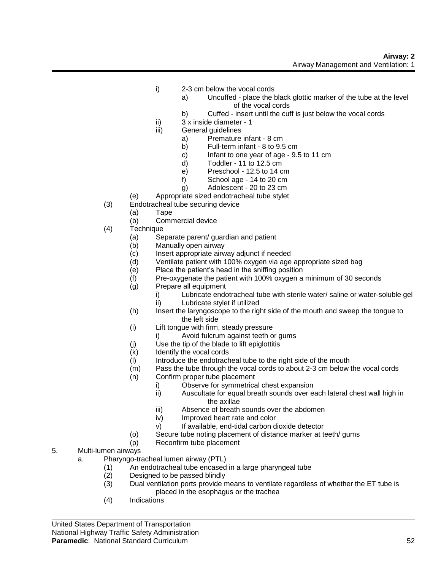- i) 2-3 cm below the vocal cords
	- a) Uncuffed place the black glottic marker of the tube at the level of the vocal cords
	- b) Cuffed insert until the cuff is just below the vocal cords
- ii) 3 x inside diameter 1
- iii) General guidelines
	- a) Premature infant 8 cm
	- b) Full-term infant 8 to 9.5 cm
	- c) Infant to one year of age  $9.5$  to 11 cm<br>d) Toddler 11 to 12.5 cm
	- Toddler 11 to 12.5  $cm$
	- e) Preschool 12.5 to 14 cm
	- f) School age 14 to 20 cm
	- g) Adolescent 20 to 23 cm
- (e) Appropriate sized endotracheal tube stylet
- (3) Endotracheal tube securing device
	- (a) Tape
		- (b) Commercial device
- (4) Technique
	- (a) Separate parent/ guardian and patient
	- (b) Manually open airway
	- (c) Insert appropriate airway adjunct if needed
	- (d) Ventilate patient with 100% oxygen via age appropriate sized bag
	- (e) Place the patient's head in the sniffing position
	- (f) Pre-oxygenate the patient with 100% oxygen a minimum of 30 seconds
	- (g) Prepare all equipment
		- i) Lubricate endotracheal tube with sterile water/ saline or water-soluble gel
		- ii) Lubricate stylet if utilized
		- (h) Insert the laryngoscope to the right side of the mouth and sweep the tongue to the left side
		- (i) Lift tongue with firm, steady pressure
			- i) Avoid fulcrum against teeth or gums
		- (j) Use the tip of the blade to lift epiglottitis
		- (k) Identify the vocal cords
		- $(1)$  Introduce the endotracheal tube to the right side of the mouth
		- (m) Pass the tube through the vocal cords to about 2-3 cm below the vocal cords
		- (n) Confirm proper tube placement
			- i) Observe for symmetrical chest expansion
			- ii) Auscultate for equal breath sounds over each lateral chest wall high in the axillae
			- iii) Absence of breath sounds over the abdomen
			- iv) Improved heart rate and color
			- v) If available, end-tidal carbon dioxide detector
		- (o) Secure tube noting placement of distance marker at teeth/ gums
		- (p) Reconfirm tube placement
- 5. Multi-lumen airways
	- a. Pharyngo-tracheal lumen airway (PTL)
		- (1) An endotracheal tube encased in a large pharyngeal tube
		- (2) Designed to be passed blindly
		- (3) Dual ventilation ports provide means to ventilate regardless of whether the ET tube is placed in the esophagus or the trachea
		- (4) Indications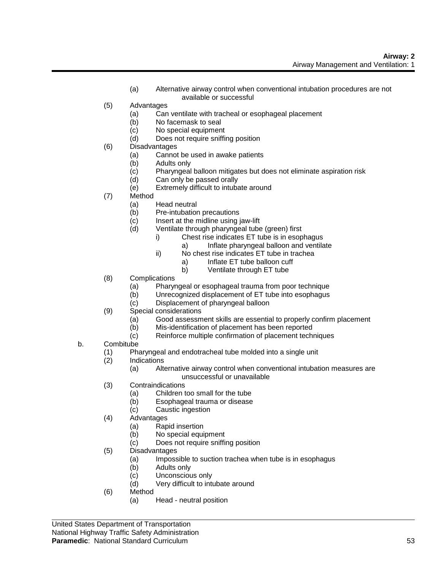- (a) Alternative airway control when conventional intubation procedures are not available or successful
- (5) Advantages
	- (a) Can ventilate with tracheal or esophageal placement
	- (b) No facemask to seal
	- (c) No special equipment
	- (d) Does not require sniffing position
- (6) Disadvantages
	- (a) Cannot be used in awake patients
	- (b) Adults only
	- (c) Pharyngeal balloon mitigates but does not eliminate aspiration risk
	- (d) Can only be passed orally
	- (e) Extremely difficult to intubate around
- (7) Method
	- (a) Head neutral
	- (b) Pre-intubation precautions
	- (c) Insert at the midline using jaw-lift
	- (d) Ventilate through pharyngeal tube (green) first
		- i) Chest rise indicates ET tube is in esophagus
			- a) Inflate pharyngeal balloon and ventilate
		- ii) No chest rise indicates ET tube in trachea
			- a) Inflate ET tube balloon cuff
			- b) Ventilate through ET tube
- (8) Complications
	- (a) Pharyngeal or esophageal trauma from poor technique
	- (b) Unrecognized displacement of ET tube into esophagus
	- (c) Displacement of pharyngeal balloon
- (9) Special considerations
	- (a) Good assessment skills are essential to properly confirm placement
	- (b) Mis-identification of placement has been reported
	- (c) Reinforce multiple confirmation of placement techniques
- b. Combitube
	- (1) Pharyngeal and endotracheal tube molded into a single unit
	- (2) Indications
		- (a) Alternative airway control when conventional intubation measures are unsuccessful or unavailable
	- (3) Contraindications
		- (a) Children too small for the tube
		- (b) Esophageal trauma or disease
		- (c) Caustic ingestion
	- (4) Advantages
		- (a) Rapid insertion
		- (b) No special equipment
		- (c) Does not require sniffing position
	- (5) Disadvantages
		- (a) Impossible to suction trachea when tube is in esophagus
		- (b) Adults only
		- (c) Unconscious only
		- (d) Very difficult to intubate around
	- (6) Method
		- (a) Head neutral position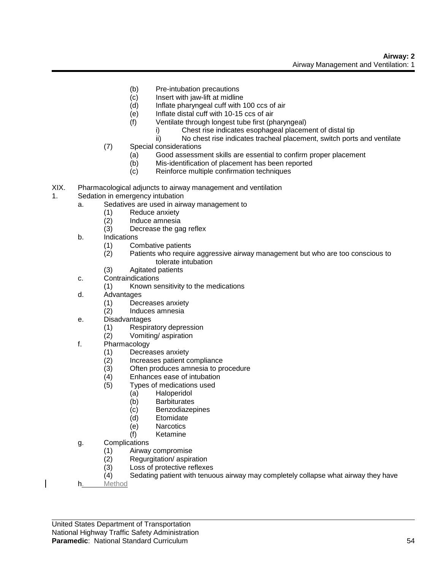- (b) Pre-intubation precautions
- (c) Insert with jaw-lift at midline
- (d) Inflate pharyngeal cuff with 100 ccs of air
- (e) Inflate distal cuff with 10-15 ccs of air
- (f) Ventilate through longest tube first (pharyngeal)
	- i) Chest rise indicates esophageal placement of distal tip
	- ii) No chest rise indicates tracheal placement, switch ports and ventilate
- (7) Special considerations
	- (a) Good assessment skills are essential to confirm proper placement
	- (b) Mis-identification of placement has been reported
	- (c) Reinforce multiple confirmation techniques
- XIX. Pharmacological adjuncts to airway management and ventilation
- 1. Sedation in emergency intubation
	- a. Sedatives are used in airway management to
		- (1) Reduce anxiety
		- (2) Induce amnesia
		- (3) Decrease the gag reflex
	- b. Indications
		- (1) Combative patients
		- (2) Patients who require aggressive airway management but who are too conscious to tolerate intubation
		- (3) Agitated patients
	- c. Contraindications
		- (1) Known sensitivity to the medications
	- d. Advantages
		- (1) Decreases anxiety
		- (2) Induces amnesia
	- e. Disadvantages
		- (1) Respiratory depression
		- (2) Vomiting/ aspiration
	- f. Pharmacology
		- (1) Decreases anxiety
		- (2) Increases patient compliance<br>(3) Often produces amnesia to pr
		- Often produces amnesia to procedure
		- (4) Enhances ease of intubation
		- (5) Types of medications used
			- (a) Haloperidol
			- (b) Barbiturates
			- (c) Benzodiazepines
			- (d) Etomidate
			- (e) Narcotics
			- (f) Ketamine
	- g. Complications
		- (1) Airway compromise
		- (2) Regurgitation/ aspiration
		- (3) Loss of protective reflexes
		- (4) Sedating patient with tenuous airway may completely collapse what airway they have
	- h. Method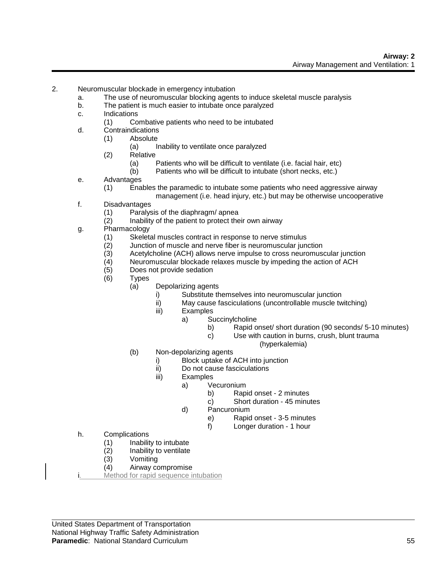- 2. Neuromuscular blockade in emergency intubation
	- a. The use of neuromuscular blocking agents to induce skeletal muscle paralysis
	- b. The patient is much easier to intubate once paralyzed
	- c. Indications
		- (1) Combative patients who need to be intubated
	- d. Contraindications
		- (1) Absolute
			- (a) Inability to ventilate once paralyzed
			- (2) Relative
				- (a) Patients who will be difficult to ventilate (i.e. facial hair, etc)
				- (b) Patients who will be difficult to intubate (short necks, etc.)
	- e. Advantages
		- (1) Enables the paramedic to intubate some patients who need aggressive airway
			- management (i.e. head injury, etc.) but may be otherwise uncooperative
	- f. Disadvantages
		- (1) Paralysis of the diaphragm/ apnea
		- (2) Inability of the patient to protect their own airway
	- g. Pharmacology
		- (1) Skeletal muscles contract in response to nerve stimulus
		- (2) Junction of muscle and nerve fiber is neuromuscular junction
		- (3) Acetylcholine (ACH) allows nerve impulse to cross neuromuscular junction<br>(4) Uneuromuscular blockade relaxes muscle by impeding the action of ACH
		- Neuromuscular blockade relaxes muscle by impeding the action of ACH
		- (5) Does not provide sedation
		- (6) Types
			- (a) Depolarizing agents
				- i) Substitute themselves into neuromuscular junction
				- ii) May cause fasciculations (uncontrollable muscle twitching)
				- iii) Examples
					- a) Succinylcholine
						- b) Rapid onset/ short duration (90 seconds/ 5-10 minutes)
						- c) Use with caution in burns, crush, blunt trauma
							- (hyperkalemia)
			- (b) Non-depolarizing agents
				- i) Block uptake of ACH into junction<br>ii) Do not cause fasciculations
				- Do not cause fasciculations
				- iii) Examples
					- a) Vecuronium
						- b) Rapid onset 2 minutes
						- c) Short duration 45 minutes
					- d) Pancuronium
						- e) Rapid onset 3-5 minutes
						- f) Longer duration 1 hour
	- h. Complications
		- (1) Inability to intubate
		- (2) Inability to ventilate
		- (3) Vomiting
		- (4) Airway compromise
	- Method for rapid sequence intubation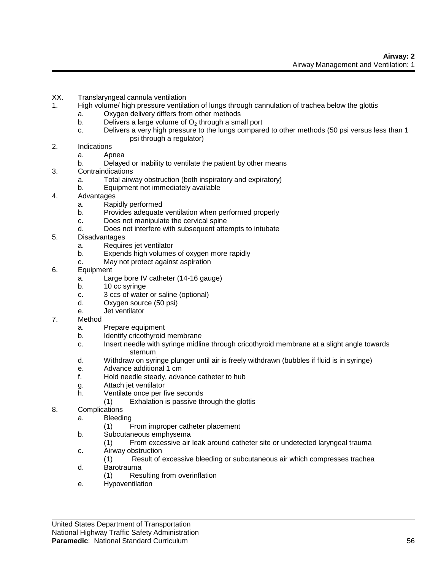- XX. Translaryngeal cannula ventilation
- 1. High volume/ high pressure ventilation of lungs through cannulation of trachea below the glottis
	- a. Oxygen delivery differs from other methods
	- b. Delivers a large volume of  $O_2$  through a small port c. Delivers a very high pressure to the lungs compare
	- Delivers a very high pressure to the lungs compared to other methods (50 psi versus less than 1 psi through a regulator)
- 2. Indications
	- a. Apnea
	- b. Delayed or inability to ventilate the patient by other means
- 3. Contraindications
	- a. Total airway obstruction (both inspiratory and expiratory)
	- b. Equipment not immediately available
- 4. Advantages
	- a. Rapidly performed
	- b. Provides adequate ventilation when performed properly
	- c. Does not manipulate the cervical spine
	- d. Does not interfere with subsequent attempts to intubate
- 5. Disadvantages
	- a. Requires jet ventilator
	- b. Expends high volumes of oxygen more rapidly
	- c. May not protect against aspiration
- 6. Equipment
	- a. Large bore IV catheter (14-16 gauge)
	- b. 10 cc syringe
	- c. 3 ccs of water or saline (optional)
	- d. Oxygen source (50 psi)
	- e. Jet ventilator
- 7. Method
	- a. Prepare equipment
	- b. Identify cricothyroid membrane
	- c. Insert needle with syringe midline through cricothyroid membrane at a slight angle towards sternum
	- d. Withdraw on syringe plunger until air is freely withdrawn (bubbles if fluid is in syringe)
	- e. Advance additional 1 cm
	- f. Hold needle steady, advance catheter to hub
	- g. Attach jet ventilator
	- h. Ventilate once per five seconds
		- (1) Exhalation is passive through the glottis
- 8. Complications
	- a. Bleeding
		- (1) From improper catheter placement
	- b. Subcutaneous emphysema
		- (1) From excessive air leak around catheter site or undetected laryngeal trauma
	- c. Airway obstruction
		- (1) Result of excessive bleeding or subcutaneous air which compresses trachea
	- d. Barotrauma
		- (1) Resulting from overinflation
	- e. Hypoventilation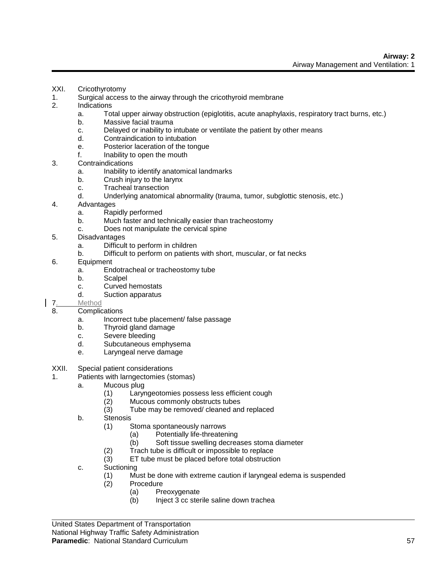- XXI. Cricothyrotomy
- 1. Surgical access to the airway through the cricothyroid membrane
- 2. Indications
	- a. Total upper airway obstruction (epiglotitis, acute anaphylaxis, respiratory tract burns, etc.)
	- b. Massive facial trauma
	- c. Delayed or inability to intubate or ventilate the patient by other means
	- d. Contraindication to intubation
	- e. Posterior laceration of the tongue
	- f. Inability to open the mouth
- 3. Contraindications
	- a. Inability to identify anatomical landmarks
	- b. Crush injury to the larynx
	- c. Tracheal transection
	- d. Underlying anatomical abnormality (trauma, tumor, subglottic stenosis, etc.)
- 4. Advantages
	- a. Rapidly performed
	- b. Much faster and technically easier than tracheostomy
	- c. Does not manipulate the cervical spine
- 5. Disadvantages
	- a. Difficult to perform in children
	- b. Difficult to perform on patients with short, muscular, or fat necks
- 6. Equipment
	- a. Endotracheal or tracheostomy tube
	- b. Scalpel
	- c. Curved hemostats
	- d. Suction apparatus
- 7. Method
- 8. Complications
	- a. Incorrect tube placement/ false passage
	- b. Thyroid gland damage
	- c. Severe bleeding
	- d. Subcutaneous emphysema
	- e. Laryngeal nerve damage
- XXII. Special patient considerations
- 1. Patients with larngectomies (stomas)
	- a. Mucous plug
		- (1) Laryngeotomies possess less efficient cough
		- (2) Mucous commonly obstructs tubes
		- (3) Tube may be removed/ cleaned and replaced
	- b. Stenosis
		- (1) Stoma spontaneously narrows
			- (a) Potentially life-threatening
			- (b) Soft tissue swelling decreases stoma diameter
		- (2) Trach tube is difficult or impossible to replace
		- (3) ET tube must be placed before total obstruction
	- c. Suctioning
		- (1) Must be done with extreme caution if laryngeal edema is suspended
		- (2) Procedure
			- (a) Preoxygenate
			- (b) Inject 3 cc sterile saline down trachea